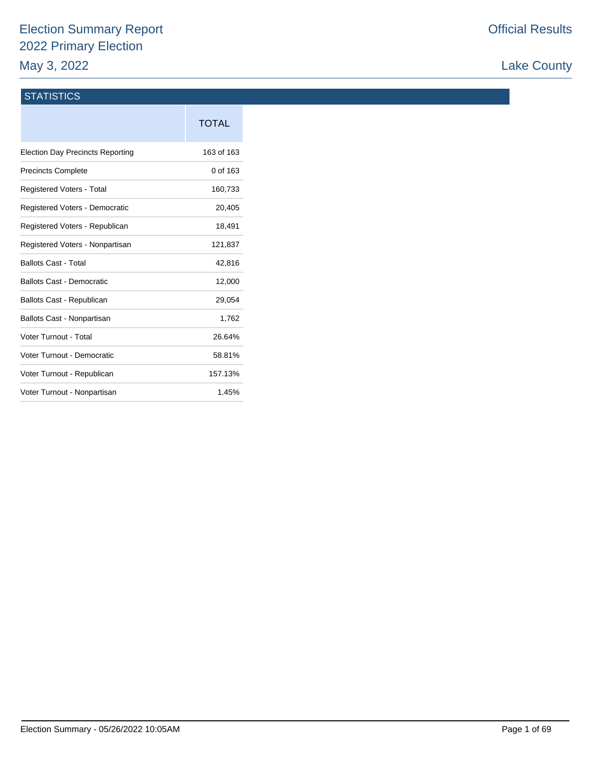# Election Summary Report 2022 Primary Election May 3, 2022

# Lake County

### **STATISTICS**

|                                         | <b>TOTAL</b> |
|-----------------------------------------|--------------|
| <b>Election Day Precincts Reporting</b> | 163 of 163   |
| <b>Precincts Complete</b>               | 0 of 163     |
| <b>Registered Voters - Total</b>        | 160,733      |
| Registered Voters - Democratic          | 20,405       |
| Registered Voters - Republican          | 18,491       |
| Registered Voters - Nonpartisan         | 121,837      |
| <b>Ballots Cast - Total</b>             | 42,816       |
| <b>Ballots Cast - Democratic</b>        | 12,000       |
| Ballots Cast - Republican               | 29,054       |
| Ballots Cast - Nonpartisan              | 1,762        |
| Voter Turnout - Total                   | 26.64%       |
| Voter Turnout - Democratic              | 58.81%       |
| Voter Turnout - Republican              | 157.13%      |
| Voter Turnout - Nonpartisan             | 1.45%        |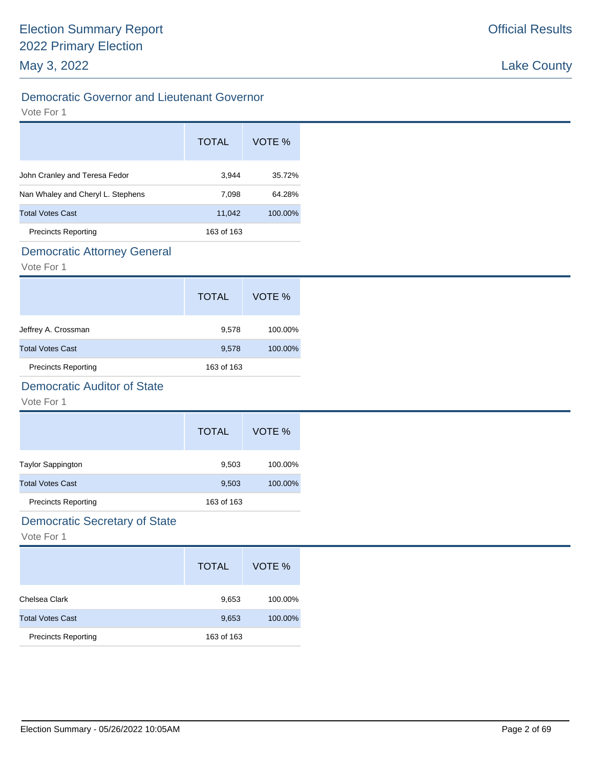# Democratic Governor and Lieutenant Governor

#### Vote For 1

|                                   | <b>TOTAL</b> | VOTE %  |
|-----------------------------------|--------------|---------|
| John Cranley and Teresa Fedor     | 3,944        | 35.72%  |
| Nan Whaley and Cheryl L. Stephens | 7,098        | 64.28%  |
| <b>Total Votes Cast</b>           | 11,042       | 100.00% |
| <b>Precincts Reporting</b>        | 163 of 163   |         |

### Democratic Attorney General

Vote For 1

|                            | <b>TOTAL</b> | VOTE %  |
|----------------------------|--------------|---------|
| Jeffrey A. Crossman        | 9,578        | 100.00% |
| <b>Total Votes Cast</b>    | 9,578        | 100.00% |
| <b>Precincts Reporting</b> | 163 of 163   |         |

# Democratic Auditor of State

Vote For 1

|                            | <b>TOTAL</b> | VOTE %  |
|----------------------------|--------------|---------|
| <b>Taylor Sappington</b>   | 9,503        | 100.00% |
| <b>Total Votes Cast</b>    | 9,503        | 100.00% |
| <b>Precincts Reporting</b> | 163 of 163   |         |

# Democratic Secretary of State

|                            | <b>TOTAL</b> | VOTE %  |
|----------------------------|--------------|---------|
| Chelsea Clark              | 9,653        | 100.00% |
| <b>Total Votes Cast</b>    | 9,653        | 100.00% |
| <b>Precincts Reporting</b> | 163 of 163   |         |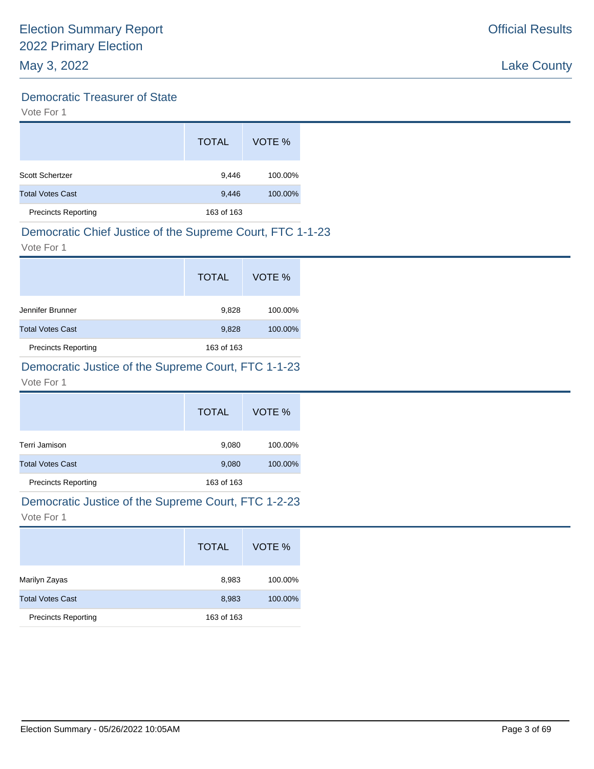# Democratic Treasurer of State

Vote For 1

|                            | <b>TOTAL</b> | VOTE %  |
|----------------------------|--------------|---------|
| Scott Schertzer            | 9,446        | 100.00% |
| <b>Total Votes Cast</b>    | 9,446        | 100.00% |
| <b>Precincts Reporting</b> | 163 of 163   |         |

# Democratic Chief Justice of the Supreme Court, FTC 1-1-23

Vote For 1

|                            | <b>TOTAL</b> | VOTE %  |
|----------------------------|--------------|---------|
| Jennifer Brunner           | 9,828        | 100.00% |
| <b>Total Votes Cast</b>    | 9,828        | 100.00% |
| <b>Precincts Reporting</b> | 163 of 163   |         |

# Democratic Justice of the Supreme Court, FTC 1-1-23

Vote For 1

|                            | <b>TOTAL</b> | VOTE %  |
|----------------------------|--------------|---------|
| Terri Jamison              | 9,080        | 100.00% |
| <b>Total Votes Cast</b>    | 9,080        | 100.00% |
| <b>Precincts Reporting</b> | 163 of 163   |         |

# Democratic Justice of the Supreme Court, FTC 1-2-23

|                            | <b>TOTAL</b> | VOTE %  |
|----------------------------|--------------|---------|
| Marilyn Zayas              | 8,983        | 100.00% |
| <b>Total Votes Cast</b>    | 8,983        | 100.00% |
| <b>Precincts Reporting</b> | 163 of 163   |         |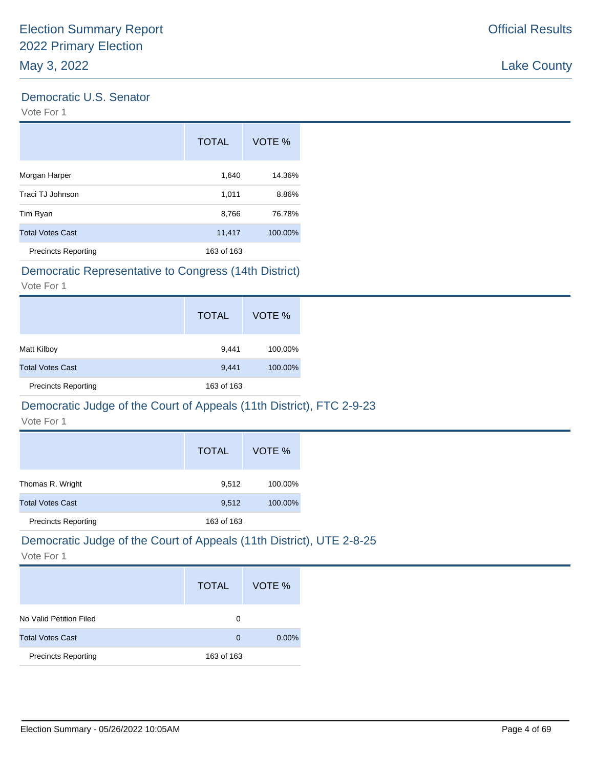### Democratic U.S. Senator

Vote For 1

|                            | <b>TOTAL</b> | VOTE %  |
|----------------------------|--------------|---------|
| Morgan Harper              | 1,640        | 14.36%  |
| Traci TJ Johnson           | 1,011        | 8.86%   |
| Tim Ryan                   | 8,766        | 76.78%  |
| <b>Total Votes Cast</b>    | 11,417       | 100.00% |
| <b>Precincts Reporting</b> | 163 of 163   |         |

# Democratic Representative to Congress (14th District)

Vote For 1

|                            | <b>TOTAL</b> | VOTE %  |
|----------------------------|--------------|---------|
| Matt Kilboy                | 9,441        | 100.00% |
| <b>Total Votes Cast</b>    | 9,441        | 100.00% |
| <b>Precincts Reporting</b> | 163 of 163   |         |

#### Democratic Judge of the Court of Appeals (11th District), FTC 2-9-23

Vote For 1

|                            | <b>TOTAL</b> | VOTE %  |
|----------------------------|--------------|---------|
| Thomas R. Wright           | 9,512        | 100.00% |
| <b>Total Votes Cast</b>    | 9,512        | 100.00% |
| <b>Precincts Reporting</b> | 163 of 163   |         |

# Democratic Judge of the Court of Appeals (11th District), UTE 2-8-25

|                            | <b>TOTAL</b> | VOTE %   |
|----------------------------|--------------|----------|
| No Valid Petition Filed    | 0            |          |
| <b>Total Votes Cast</b>    | $\Omega$     | $0.00\%$ |
| <b>Precincts Reporting</b> | 163 of 163   |          |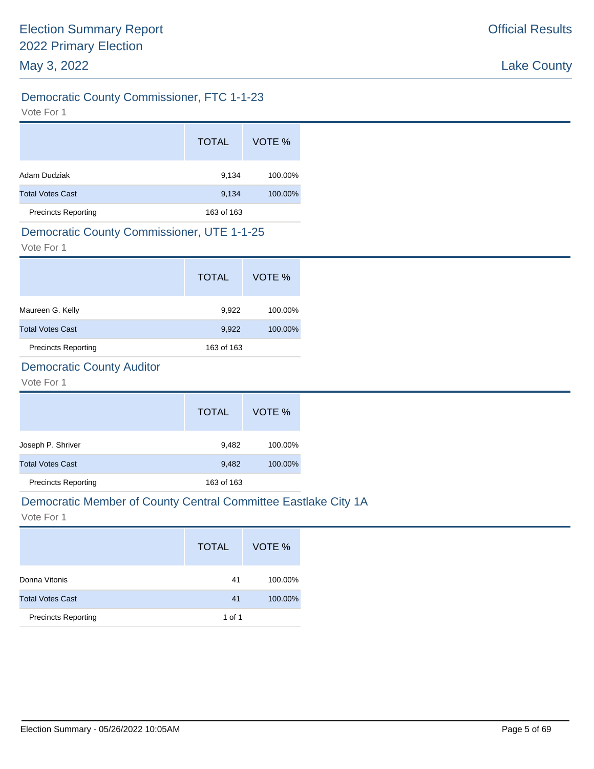# Democratic County Commissioner, FTC 1-1-23

Vote For 1

|                            | <b>TOTAL</b> | VOTE %  |
|----------------------------|--------------|---------|
| Adam Dudziak               | 9,134        | 100.00% |
| <b>Total Votes Cast</b>    | 9,134        | 100.00% |
| <b>Precincts Reporting</b> | 163 of 163   |         |

### Democratic County Commissioner, UTE 1-1-25

Vote For 1

|                            | <b>TOTAL</b> | VOTE %  |
|----------------------------|--------------|---------|
| Maureen G. Kelly           | 9,922        | 100.00% |
| <b>Total Votes Cast</b>    | 9,922        | 100.00% |
| <b>Precincts Reporting</b> | 163 of 163   |         |

# Democratic County Auditor

Vote For 1

|                            | <b>TOTAL</b> | VOTE %  |
|----------------------------|--------------|---------|
| Joseph P. Shriver          | 9,482        | 100.00% |
| <b>Total Votes Cast</b>    | 9,482        | 100.00% |
| <b>Precincts Reporting</b> | 163 of 163   |         |

#### Democratic Member of County Central Committee Eastlake City 1A

|                            | <b>TOTAL</b> | VOTE %  |
|----------------------------|--------------|---------|
| Donna Vitonis              | 41           | 100.00% |
| <b>Total Votes Cast</b>    | 41           | 100.00% |
| <b>Precincts Reporting</b> | 1 of 1       |         |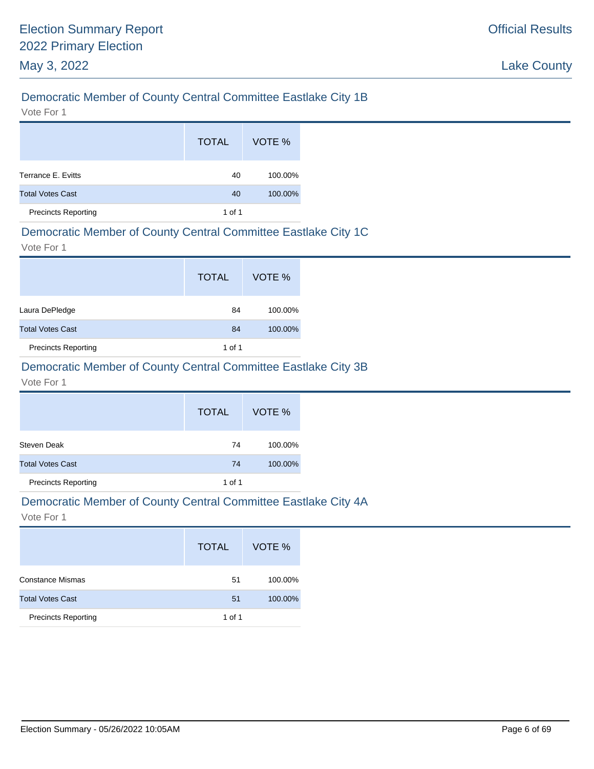# Democratic Member of County Central Committee Eastlake City 1B

Vote For 1

|                            | <b>TOTAL</b> | VOTE %  |
|----------------------------|--------------|---------|
| Terrance E. Evitts         | 40           | 100.00% |
| <b>Total Votes Cast</b>    | 40           | 100.00% |
| <b>Precincts Reporting</b> | 1 of 1       |         |

### Democratic Member of County Central Committee Eastlake City 1C

Vote For 1

|                            | <b>TOTAL</b> | VOTE %  |
|----------------------------|--------------|---------|
| Laura DePledge             | 84           | 100.00% |
| <b>Total Votes Cast</b>    | 84           | 100.00% |
| <b>Precincts Reporting</b> | 1 of 1       |         |

# Democratic Member of County Central Committee Eastlake City 3B

Vote For 1

|                            | <b>TOTAL</b> | VOTE %  |
|----------------------------|--------------|---------|
| Steven Deak                | 74           | 100.00% |
| <b>Total Votes Cast</b>    | 74           | 100.00% |
| <b>Precincts Reporting</b> | 1 of 1       |         |

#### Democratic Member of County Central Committee Eastlake City 4A

|                            | <b>TOTAL</b> | VOTE %  |
|----------------------------|--------------|---------|
| <b>Constance Mismas</b>    | 51           | 100.00% |
| <b>Total Votes Cast</b>    | 51           | 100.00% |
| <b>Precincts Reporting</b> | 1 of 1       |         |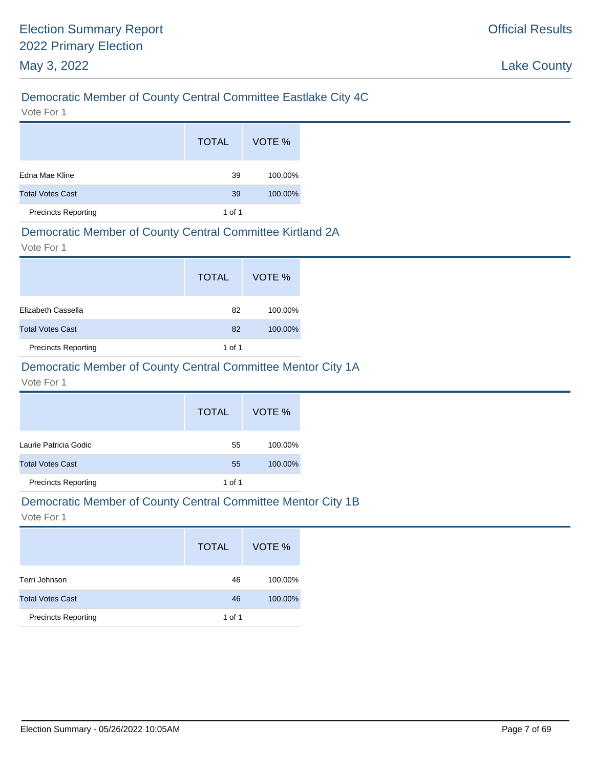# Democratic Member of County Central Committee Eastlake City 4C

Vote For 1

|                            | <b>TOTAL</b> | VOTE %  |
|----------------------------|--------------|---------|
| Edna Mae Kline             | 39           | 100.00% |
| <b>Total Votes Cast</b>    | 39           | 100.00% |
| <b>Precincts Reporting</b> | 1 of 1       |         |

#### Democratic Member of County Central Committee Kirtland 2A

Vote For 1

|                            | <b>TOTAL</b> | VOTE %  |
|----------------------------|--------------|---------|
| Elizabeth Cassella         | 82           | 100.00% |
| <b>Total Votes Cast</b>    | 82           | 100.00% |
| <b>Precincts Reporting</b> | 1 of 1       |         |

# Democratic Member of County Central Committee Mentor City 1A

#### Vote For 1

|                            | <b>TOTAL</b> | VOTE %  |
|----------------------------|--------------|---------|
| Laurie Patricia Godic      | 55           | 100.00% |
| <b>Total Votes Cast</b>    | 55           | 100.00% |
| <b>Precincts Reporting</b> | 1 of 1       |         |

#### Democratic Member of County Central Committee Mentor City 1B

|                            | <b>TOTAL</b> | VOTE %  |
|----------------------------|--------------|---------|
| Terri Johnson              | 46           | 100.00% |
| <b>Total Votes Cast</b>    | 46           | 100.00% |
| <b>Precincts Reporting</b> | 1 of 1       |         |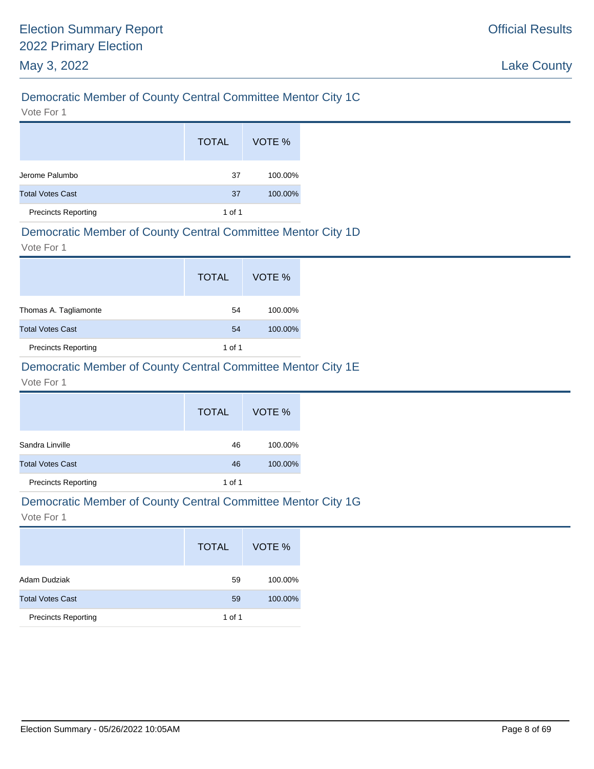# Democratic Member of County Central Committee Mentor City 1C

Vote For 1

|                            | <b>TOTAL</b> | VOTE %  |
|----------------------------|--------------|---------|
| Jerome Palumbo             | 37           | 100.00% |
| <b>Total Votes Cast</b>    | 37           | 100.00% |
| <b>Precincts Reporting</b> | 1 of 1       |         |

### Democratic Member of County Central Committee Mentor City 1D

Vote For 1

|                            | <b>TOTAL</b> | VOTE %  |
|----------------------------|--------------|---------|
| Thomas A. Tagliamonte      | 54           | 100.00% |
| <b>Total Votes Cast</b>    | 54           | 100.00% |
| <b>Precincts Reporting</b> | 1 of 1       |         |

### Democratic Member of County Central Committee Mentor City 1E

#### Vote For 1

|                            | <b>TOTAL</b> | VOTE %  |
|----------------------------|--------------|---------|
| Sandra Linville            | 46           | 100.00% |
| <b>Total Votes Cast</b>    | 46           | 100.00% |
| <b>Precincts Reporting</b> | 1 of 1       |         |

#### Democratic Member of County Central Committee Mentor City 1G

|                            | <b>TOTAL</b> | VOTE %  |
|----------------------------|--------------|---------|
| Adam Dudziak               | 59           | 100.00% |
| <b>Total Votes Cast</b>    | 59           | 100.00% |
| <b>Precincts Reporting</b> | 1 of 1       |         |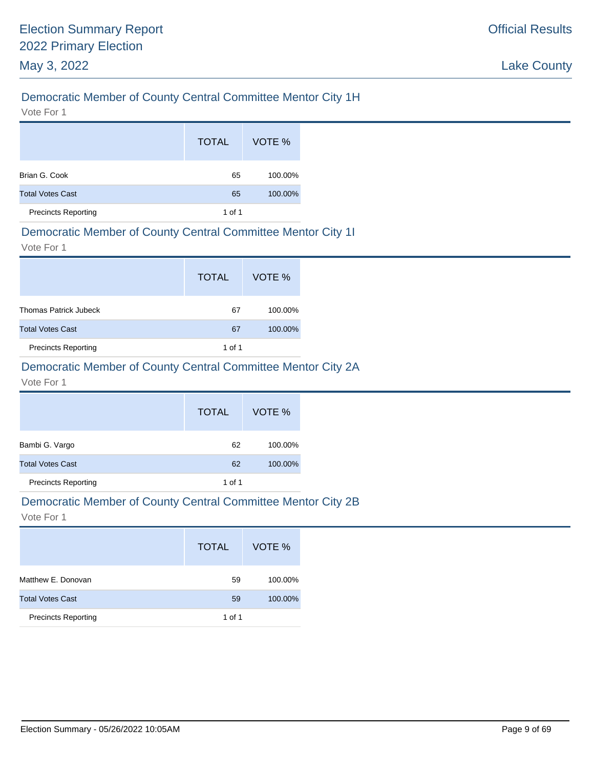# Democratic Member of County Central Committee Mentor City 1H

Vote For 1

|                            | <b>TOTAL</b> | VOTE %  |
|----------------------------|--------------|---------|
| Brian G. Cook              | 65           | 100.00% |
| <b>Total Votes Cast</b>    | 65           | 100.00% |
| <b>Precincts Reporting</b> | 1 of 1       |         |

#### Democratic Member of County Central Committee Mentor City 1I

Vote For 1

|                              | <b>TOTAL</b> | VOTE %  |
|------------------------------|--------------|---------|
| <b>Thomas Patrick Jubeck</b> | 67           | 100.00% |
| <b>Total Votes Cast</b>      | 67           | 100.00% |
| <b>Precincts Reporting</b>   | 1 of 1       |         |

# Democratic Member of County Central Committee Mentor City 2A

#### Vote For 1

|                            | <b>TOTAL</b> | VOTE %  |
|----------------------------|--------------|---------|
| Bambi G. Vargo             | 62           | 100.00% |
| <b>Total Votes Cast</b>    | 62           | 100.00% |
| <b>Precincts Reporting</b> | 1 of 1       |         |

#### Democratic Member of County Central Committee Mentor City 2B

|                            | <b>TOTAL</b> | VOTE %  |
|----------------------------|--------------|---------|
| Matthew E. Donovan         | 59           | 100.00% |
| <b>Total Votes Cast</b>    | 59           | 100.00% |
| <b>Precincts Reporting</b> | 1 of 1       |         |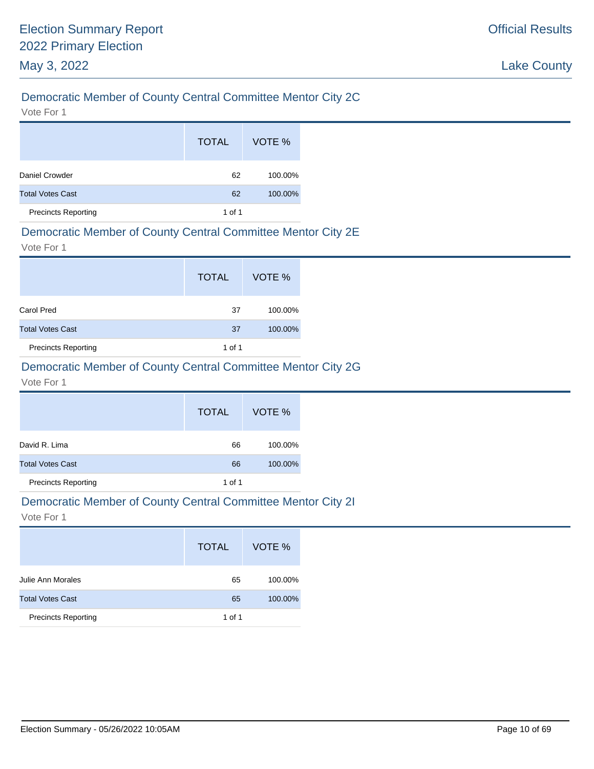# Democratic Member of County Central Committee Mentor City 2C

Vote For 1

|                            | <b>TOTAL</b> | VOTE %  |
|----------------------------|--------------|---------|
| Daniel Crowder             | 62           | 100.00% |
| <b>Total Votes Cast</b>    | 62           | 100.00% |
| <b>Precincts Reporting</b> | 1 of 1       |         |

#### Democratic Member of County Central Committee Mentor City 2E

Vote For 1

|                            | <b>TOTAL</b> | VOTE %  |
|----------------------------|--------------|---------|
| Carol Pred                 | 37           | 100.00% |
| <b>Total Votes Cast</b>    | 37           | 100.00% |
| <b>Precincts Reporting</b> | 1 of 1       |         |

# Democratic Member of County Central Committee Mentor City 2G

#### Vote For 1

|                            | <b>TOTAL</b> | VOTE %  |
|----------------------------|--------------|---------|
| David R. Lima              | 66           | 100.00% |
| <b>Total Votes Cast</b>    | 66           | 100.00% |
| <b>Precincts Reporting</b> | 1 of 1       |         |

#### Democratic Member of County Central Committee Mentor City 2I

|                            | <b>TOTAL</b> | VOTE %  |
|----------------------------|--------------|---------|
| Julie Ann Morales          | 65           | 100.00% |
| <b>Total Votes Cast</b>    | 65           | 100.00% |
| <b>Precincts Reporting</b> | 1 of 1       |         |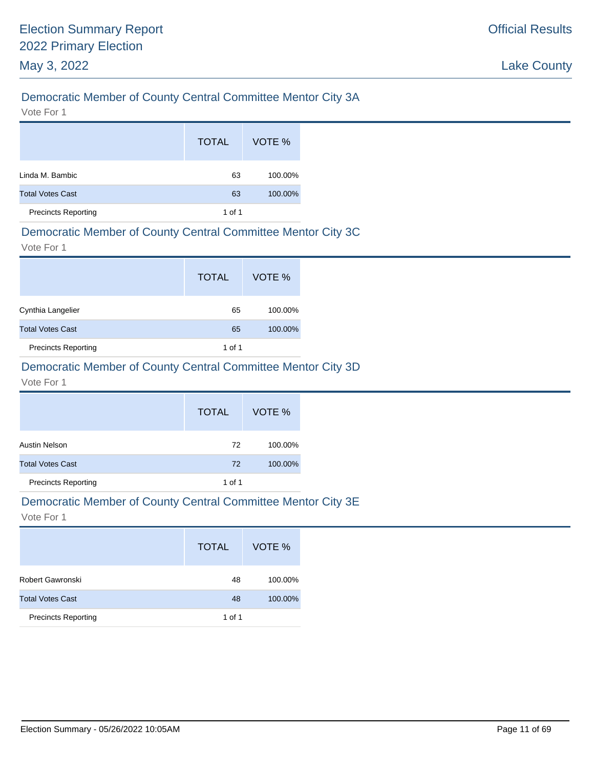# Democratic Member of County Central Committee Mentor City 3A

Vote For 1

|                            | <b>TOTAL</b> | VOTE %  |
|----------------------------|--------------|---------|
| Linda M. Bambic            | 63           | 100.00% |
| <b>Total Votes Cast</b>    | 63           | 100.00% |
| <b>Precincts Reporting</b> | 1 of 1       |         |

### Democratic Member of County Central Committee Mentor City 3C

Vote For 1

|                            | <b>TOTAL</b> | VOTE %  |
|----------------------------|--------------|---------|
| Cynthia Langelier          | 65           | 100.00% |
| <b>Total Votes Cast</b>    | 65           | 100.00% |
| <b>Precincts Reporting</b> | 1 of 1       |         |

# Democratic Member of County Central Committee Mentor City 3D

#### Vote For 1

|                            | <b>TOTAL</b> | VOTE %  |
|----------------------------|--------------|---------|
| Austin Nelson              | 72           | 100.00% |
| <b>Total Votes Cast</b>    | 72           | 100.00% |
| <b>Precincts Reporting</b> | 1 of 1       |         |

# Democratic Member of County Central Committee Mentor City 3E

|                            | <b>TOTAL</b> | VOTE %  |
|----------------------------|--------------|---------|
| Robert Gawronski           | 48           | 100.00% |
| <b>Total Votes Cast</b>    | 48           | 100.00% |
| <b>Precincts Reporting</b> | 1 of 1       |         |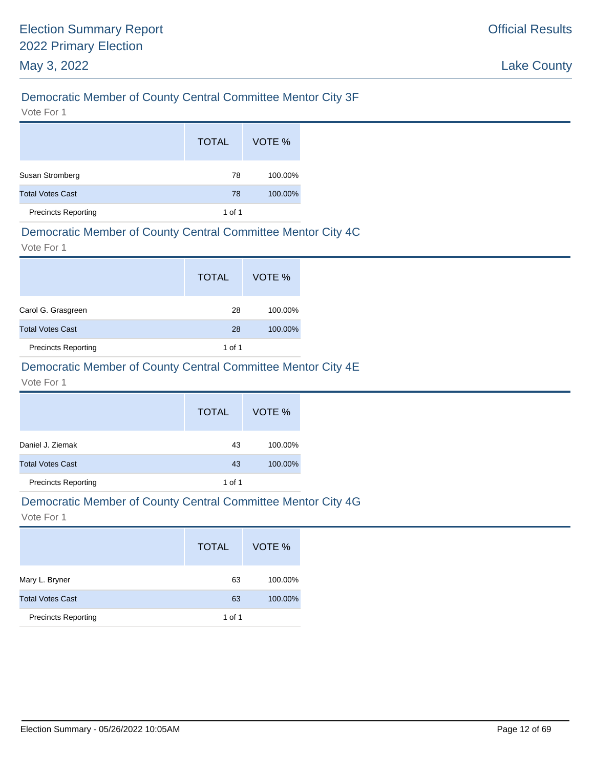# Democratic Member of County Central Committee Mentor City 3F

Vote For 1

|                            | <b>TOTAL</b> | VOTE %  |
|----------------------------|--------------|---------|
| Susan Stromberg            | 78           | 100.00% |
| <b>Total Votes Cast</b>    | 78           | 100.00% |
| <b>Precincts Reporting</b> | 1 of 1       |         |

### Democratic Member of County Central Committee Mentor City 4C

Vote For 1

|                            | <b>TOTAL</b> | VOTE %  |
|----------------------------|--------------|---------|
| Carol G. Grasgreen         | 28           | 100.00% |
| <b>Total Votes Cast</b>    | 28           | 100.00% |
| <b>Precincts Reporting</b> | 1 of 1       |         |

# Democratic Member of County Central Committee Mentor City 4E

Vote For 1

|                            | <b>TOTAL</b> | VOTE %  |
|----------------------------|--------------|---------|
| Daniel J. Ziemak           | 43           | 100.00% |
| <b>Total Votes Cast</b>    | 43           | 100.00% |
| <b>Precincts Reporting</b> | 1 of 1       |         |

#### Democratic Member of County Central Committee Mentor City 4G

|                            | <b>TOTAL</b> | VOTE %  |
|----------------------------|--------------|---------|
| Mary L. Bryner             | 63           | 100.00% |
| <b>Total Votes Cast</b>    | 63           | 100.00% |
| <b>Precincts Reporting</b> | 1 of 1       |         |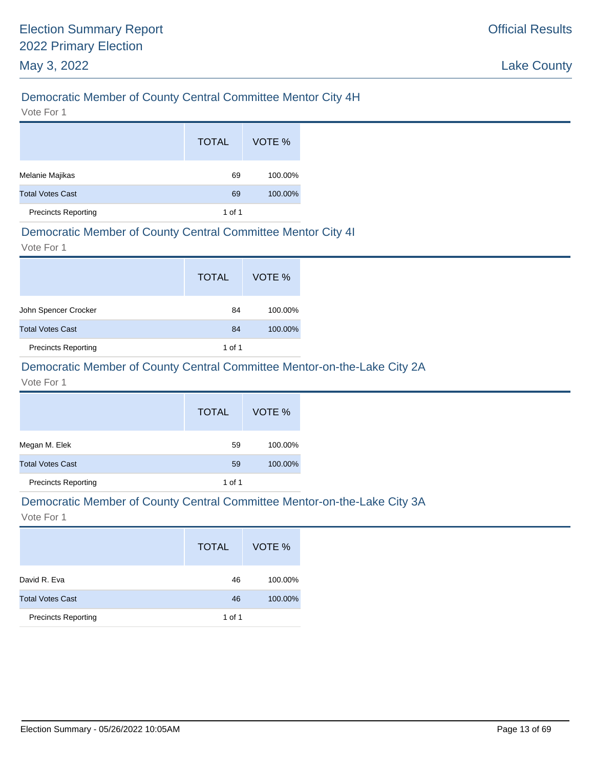# Democratic Member of County Central Committee Mentor City 4H

Vote For 1

|                            | <b>TOTAL</b> | VOTE %  |
|----------------------------|--------------|---------|
| Melanie Majikas            | 69           | 100.00% |
| <b>Total Votes Cast</b>    | 69           | 100.00% |
| <b>Precincts Reporting</b> | 1 of 1       |         |

#### Democratic Member of County Central Committee Mentor City 4I

Vote For 1

|                            | <b>TOTAL</b> | VOTE %  |
|----------------------------|--------------|---------|
| John Spencer Crocker       | 84           | 100.00% |
| <b>Total Votes Cast</b>    | 84           | 100.00% |
| <b>Precincts Reporting</b> | 1 of 1       |         |

# Democratic Member of County Central Committee Mentor-on-the-Lake City 2A

Vote For 1

|                            | <b>TOTAL</b> | VOTE %  |
|----------------------------|--------------|---------|
| Megan M. Elek              | 59           | 100.00% |
| <b>Total Votes Cast</b>    | 59           | 100.00% |
| <b>Precincts Reporting</b> | 1 of 1       |         |

#### Democratic Member of County Central Committee Mentor-on-the-Lake City 3A

|                            | <b>TOTAL</b> | VOTE %  |
|----------------------------|--------------|---------|
| David R. Eva               | 46           | 100.00% |
| <b>Total Votes Cast</b>    | 46           | 100.00% |
| <b>Precincts Reporting</b> | 1 of 1       |         |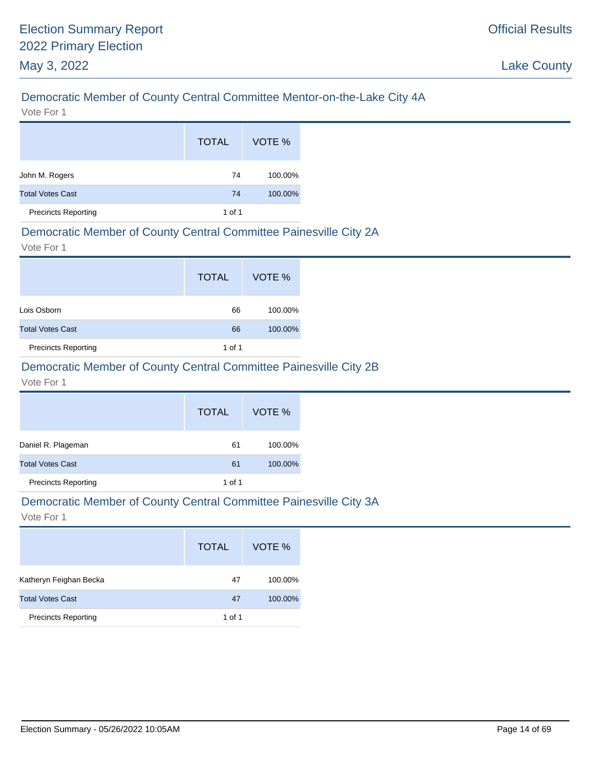# Democratic Member of County Central Committee Mentor-on-the-Lake City 4A

Vote For 1

|                            | <b>TOTAL</b> | VOTE %  |
|----------------------------|--------------|---------|
| John M. Rogers             | 74           | 100.00% |
| <b>Total Votes Cast</b>    | 74           | 100.00% |
| <b>Precincts Reporting</b> | 1 of 1       |         |

### Democratic Member of County Central Committee Painesville City 2A

Vote For 1

|                            | <b>TOTAL</b> | VOTE %  |
|----------------------------|--------------|---------|
| Lois Osborn                | 66           | 100.00% |
| <b>Total Votes Cast</b>    | 66           | 100.00% |
| <b>Precincts Reporting</b> | 1 of 1       |         |

# Democratic Member of County Central Committee Painesville City 2B

Vote For 1

|                            | <b>TOTAL</b> | VOTE %  |
|----------------------------|--------------|---------|
| Daniel R. Plageman         | 61           | 100.00% |
| <b>Total Votes Cast</b>    | 61           | 100.00% |
| <b>Precincts Reporting</b> | 1 of 1       |         |

#### Democratic Member of County Central Committee Painesville City 3A

|                            | <b>TOTAL</b> | VOTE %  |
|----------------------------|--------------|---------|
| Katheryn Feighan Becka     | 47           | 100.00% |
| <b>Total Votes Cast</b>    | 47           | 100.00% |
| <b>Precincts Reporting</b> | 1 of 1       |         |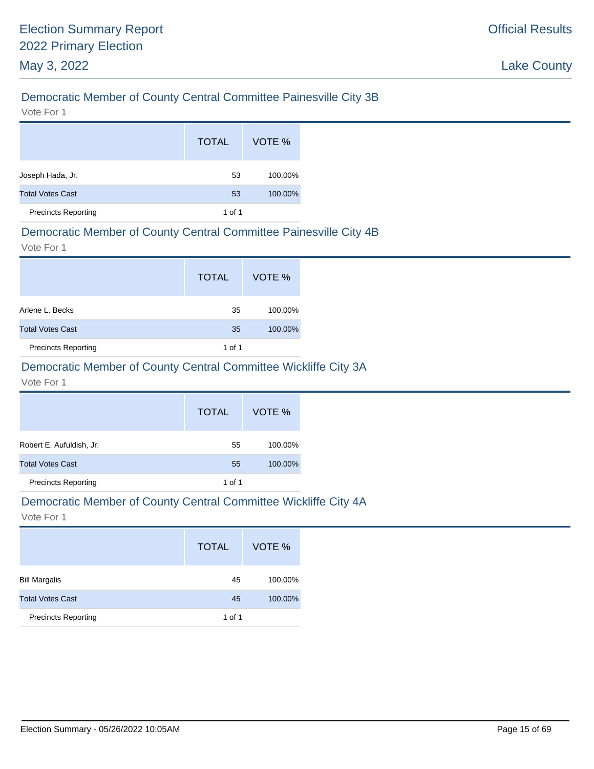# Democratic Member of County Central Committee Painesville City 3B

Vote For 1

|                            | <b>TOTAL</b> | VOTE %  |
|----------------------------|--------------|---------|
| Joseph Hada, Jr.           | 53           | 100.00% |
| <b>Total Votes Cast</b>    | 53           | 100.00% |
| <b>Precincts Reporting</b> | 1 of 1       |         |

#### Democratic Member of County Central Committee Painesville City 4B

Vote For 1

|                            | <b>TOTAL</b> | VOTE %  |
|----------------------------|--------------|---------|
| Arlene L. Becks            | 35           | 100.00% |
| <b>Total Votes Cast</b>    | 35           | 100.00% |
| <b>Precincts Reporting</b> | 1 of 1       |         |

# Democratic Member of County Central Committee Wickliffe City 3A

Vote For 1

|                            | <b>TOTAL</b> | VOTE %  |
|----------------------------|--------------|---------|
| Robert E. Aufuldish, Jr.   | 55           | 100.00% |
| <b>Total Votes Cast</b>    | 55           | 100.00% |
| <b>Precincts Reporting</b> | 1 of 1       |         |

#### Democratic Member of County Central Committee Wickliffe City 4A

|                            | <b>TOTAL</b> | VOTE %  |
|----------------------------|--------------|---------|
| <b>Bill Margalis</b>       | 45           | 100.00% |
| <b>Total Votes Cast</b>    | 45           | 100.00% |
| <b>Precincts Reporting</b> | 1 of 1       |         |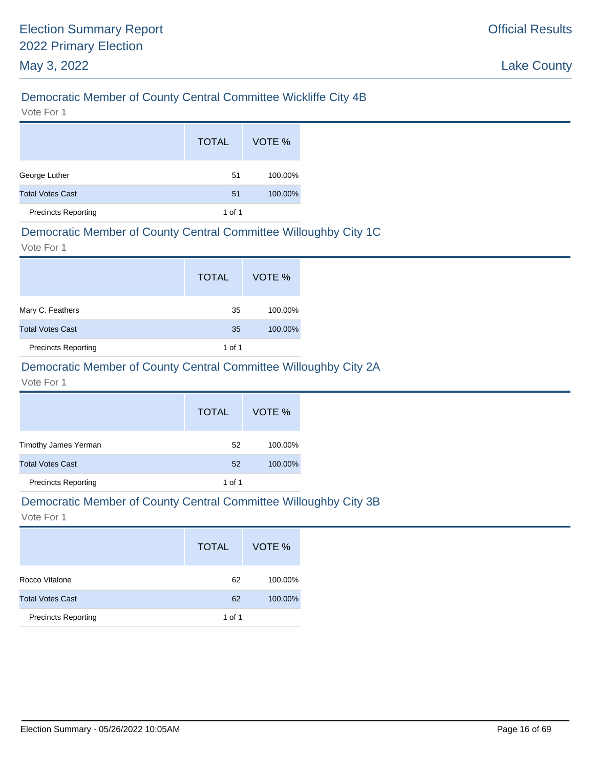# Democratic Member of County Central Committee Wickliffe City 4B

Vote For 1

|                            | <b>TOTAL</b> | VOTE %  |
|----------------------------|--------------|---------|
| George Luther              | 51           | 100.00% |
| <b>Total Votes Cast</b>    | 51           | 100.00% |
| <b>Precincts Reporting</b> | 1 of 1       |         |

# Democratic Member of County Central Committee Willoughby City 1C

Vote For 1

|                            | <b>TOTAL</b> | VOTE %  |
|----------------------------|--------------|---------|
| Mary C. Feathers           | 35           | 100.00% |
| <b>Total Votes Cast</b>    | 35           | 100.00% |
| <b>Precincts Reporting</b> | 1 of 1       |         |

# Democratic Member of County Central Committee Willoughby City 2A

Vote For 1

|                            | <b>TOTAL</b> | VOTE %  |
|----------------------------|--------------|---------|
| Timothy James Yerman       | 52           | 100.00% |
| <b>Total Votes Cast</b>    | 52           | 100.00% |
| <b>Precincts Reporting</b> | 1 of 1       |         |

#### Democratic Member of County Central Committee Willoughby City 3B

|                            | <b>TOTAL</b> | VOTE %  |
|----------------------------|--------------|---------|
| Rocco Vitalone             | 62           | 100.00% |
| <b>Total Votes Cast</b>    | 62           | 100.00% |
| <b>Precincts Reporting</b> | 1 of 1       |         |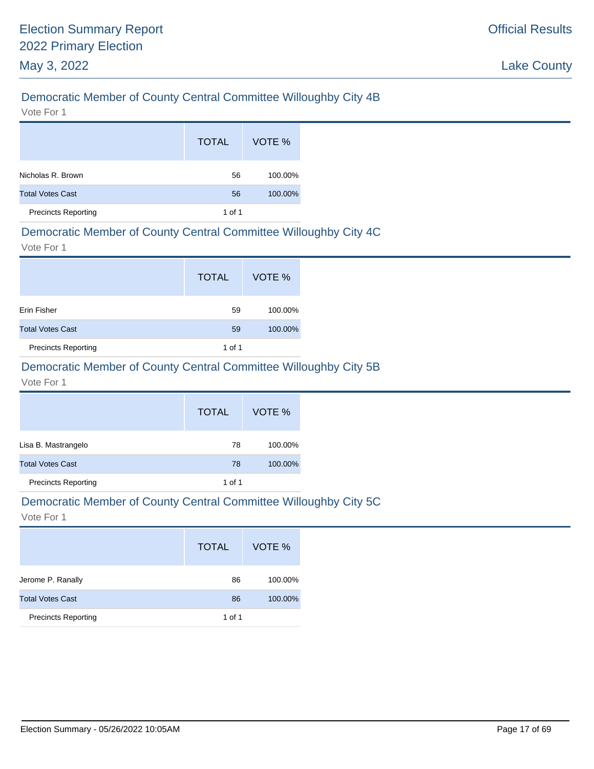# Democratic Member of County Central Committee Willoughby City 4B

Vote For 1

|                            | <b>TOTAL</b> | VOTE %  |
|----------------------------|--------------|---------|
| Nicholas R. Brown          | 56           | 100.00% |
| <b>Total Votes Cast</b>    | 56           | 100.00% |
| <b>Precincts Reporting</b> | 1 of 1       |         |

# Democratic Member of County Central Committee Willoughby City 4C

Vote For 1

|                            | <b>TOTAL</b> | VOTE %  |
|----------------------------|--------------|---------|
| Erin Fisher                | 59           | 100.00% |
| <b>Total Votes Cast</b>    | 59           | 100.00% |
| <b>Precincts Reporting</b> | 1 of 1       |         |

# Democratic Member of County Central Committee Willoughby City 5B

Vote For 1

|                            | <b>TOTAL</b> | VOTE %  |
|----------------------------|--------------|---------|
| Lisa B. Mastrangelo        | 78           | 100.00% |
| <b>Total Votes Cast</b>    | 78           | 100.00% |
| <b>Precincts Reporting</b> | 1 of 1       |         |

#### Democratic Member of County Central Committee Willoughby City 5C

|                            | <b>TOTAL</b> | VOTE %  |
|----------------------------|--------------|---------|
| Jerome P. Ranally          | 86           | 100.00% |
| <b>Total Votes Cast</b>    | 86           | 100.00% |
| <b>Precincts Reporting</b> | 1 of 1       |         |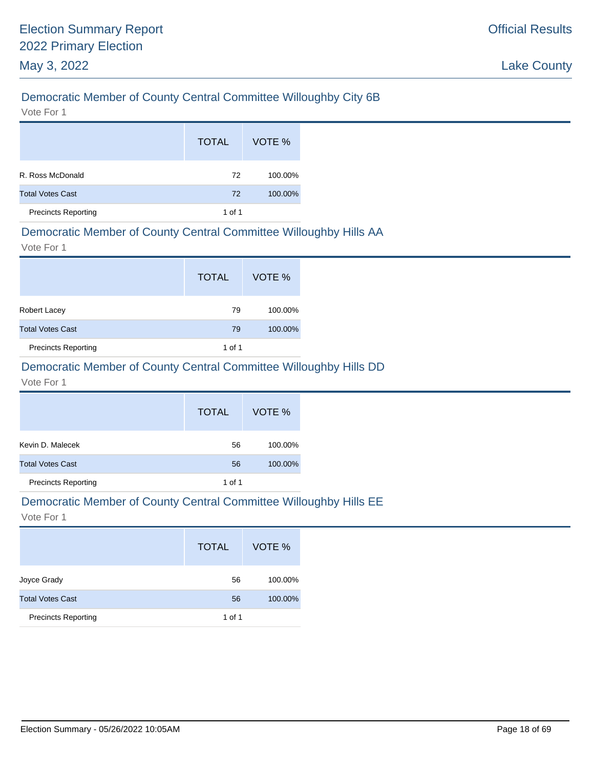# Democratic Member of County Central Committee Willoughby City 6B

Vote For 1

|                            | <b>TOTAL</b> | VOTE %  |
|----------------------------|--------------|---------|
| R. Ross McDonald           | 72           | 100.00% |
| <b>Total Votes Cast</b>    | 72           | 100.00% |
| <b>Precincts Reporting</b> | 1 of 1       |         |

### Democratic Member of County Central Committee Willoughby Hills AA

Vote For 1

|                            | <b>TOTAL</b> | VOTE %  |
|----------------------------|--------------|---------|
| <b>Robert Lacey</b>        | 79           | 100.00% |
| <b>Total Votes Cast</b>    | 79           | 100.00% |
| <b>Precincts Reporting</b> | 1 of 1       |         |

# Democratic Member of County Central Committee Willoughby Hills DD

#### Vote For 1

|                            | <b>TOTAL</b> | VOTE %  |
|----------------------------|--------------|---------|
| Kevin D. Malecek           | 56           | 100.00% |
| <b>Total Votes Cast</b>    | 56           | 100.00% |
| <b>Precincts Reporting</b> | 1 of 1       |         |

# Democratic Member of County Central Committee Willoughby Hills EE

|                            | <b>TOTAL</b> | VOTE %  |
|----------------------------|--------------|---------|
| Joyce Grady                | 56           | 100.00% |
| <b>Total Votes Cast</b>    | 56           | 100.00% |
| <b>Precincts Reporting</b> | 1 of 1       |         |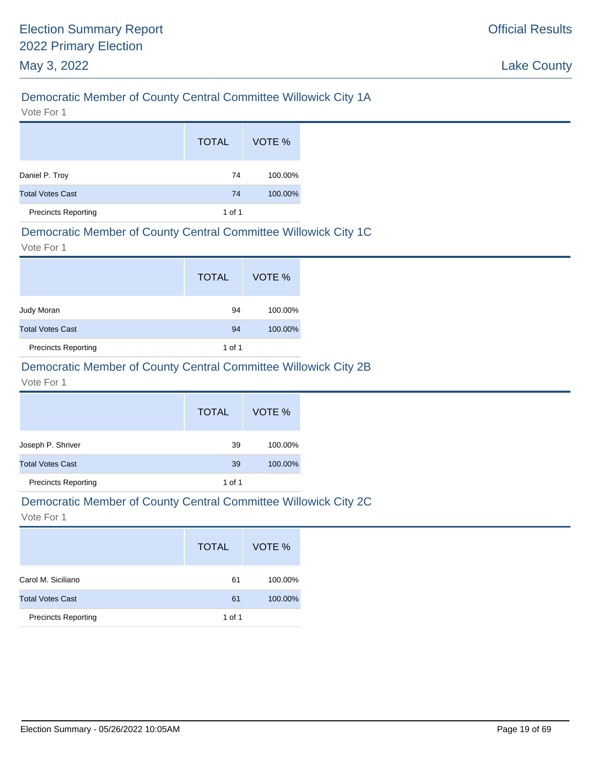# Democratic Member of County Central Committee Willowick City 1A

Vote For 1

|                            | <b>TOTAL</b> | VOTE %  |
|----------------------------|--------------|---------|
| Daniel P. Troy             | 74           | 100.00% |
| <b>Total Votes Cast</b>    | 74           | 100.00% |
| <b>Precincts Reporting</b> | 1 of 1       |         |

#### Democratic Member of County Central Committee Willowick City 1C

Vote For 1

|                            | <b>TOTAL</b> | VOTE %  |
|----------------------------|--------------|---------|
| Judy Moran                 | 94           | 100.00% |
| <b>Total Votes Cast</b>    | 94           | 100.00% |
| <b>Precincts Reporting</b> | 1 of 1       |         |

# Democratic Member of County Central Committee Willowick City 2B

Vote For 1

|                            | <b>TOTAL</b> | VOTE %  |
|----------------------------|--------------|---------|
| Joseph P. Shriver          | 39           | 100.00% |
| <b>Total Votes Cast</b>    | 39           | 100.00% |
| <b>Precincts Reporting</b> | 1 of 1       |         |

#### Democratic Member of County Central Committee Willowick City 2C

|                            | <b>TOTAL</b> | VOTE %  |
|----------------------------|--------------|---------|
| Carol M. Siciliano         | 61           | 100.00% |
| <b>Total Votes Cast</b>    | 61           | 100.00% |
| <b>Precincts Reporting</b> | 1 of 1       |         |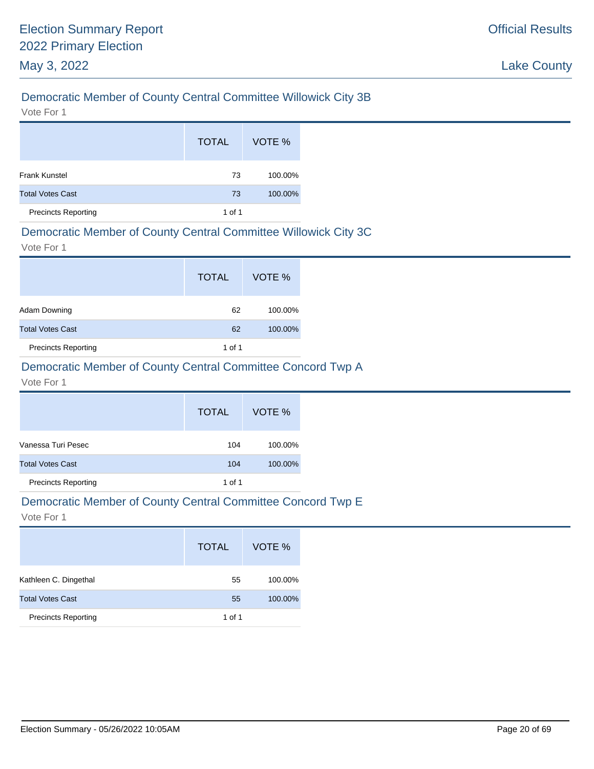# Democratic Member of County Central Committee Willowick City 3B

Vote For 1

|                            | <b>TOTAL</b> | VOTE %  |
|----------------------------|--------------|---------|
| <b>Frank Kunstel</b>       | 73           | 100.00% |
| <b>Total Votes Cast</b>    | 73           | 100.00% |
| <b>Precincts Reporting</b> | 1 of 1       |         |

### Democratic Member of County Central Committee Willowick City 3C

Vote For 1

|                            | <b>TOTAL</b> | VOTE %  |
|----------------------------|--------------|---------|
| Adam Downing               | 62           | 100.00% |
| <b>Total Votes Cast</b>    | 62           | 100.00% |
| <b>Precincts Reporting</b> | 1 of 1       |         |

# Democratic Member of County Central Committee Concord Twp A

#### Vote For 1

|                            | <b>TOTAL</b> | VOTE %  |
|----------------------------|--------------|---------|
| Vanessa Turi Pesec         | 104          | 100.00% |
| <b>Total Votes Cast</b>    | 104          | 100.00% |
| <b>Precincts Reporting</b> | 1 of 1       |         |

#### Democratic Member of County Central Committee Concord Twp E

|                            | <b>TOTAL</b> | VOTE %  |
|----------------------------|--------------|---------|
| Kathleen C. Dingethal      | 55           | 100.00% |
| <b>Total Votes Cast</b>    | 55           | 100.00% |
| <b>Precincts Reporting</b> | 1 of 1       |         |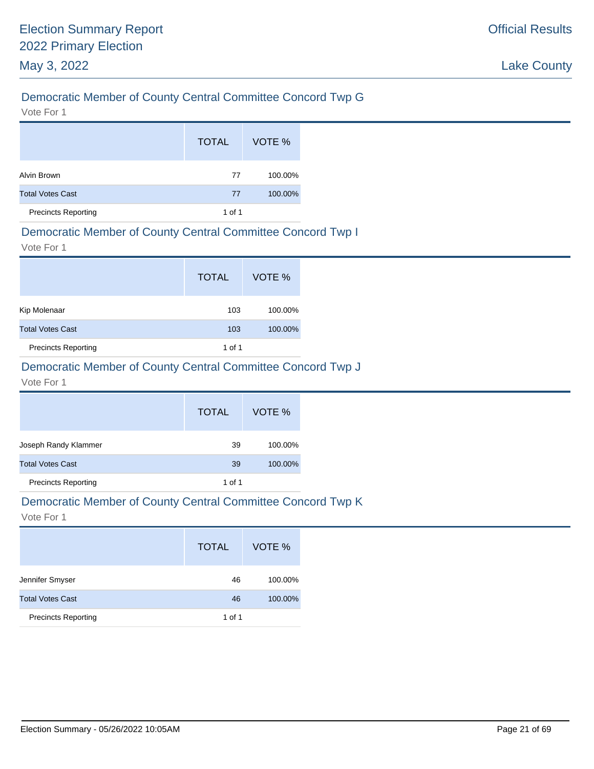# Democratic Member of County Central Committee Concord Twp G

Vote For 1

|                            | <b>TOTAL</b> | VOTE %  |
|----------------------------|--------------|---------|
| Alvin Brown                | 77           | 100.00% |
| <b>Total Votes Cast</b>    | 77           | 100.00% |
| <b>Precincts Reporting</b> | 1 of 1       |         |

# Democratic Member of County Central Committee Concord Twp I

Vote For 1

|                            | <b>TOTAL</b> | VOTE %  |
|----------------------------|--------------|---------|
| Kip Molenaar               | 103          | 100.00% |
| <b>Total Votes Cast</b>    | 103          | 100.00% |
| <b>Precincts Reporting</b> | 1 of 1       |         |

# Democratic Member of County Central Committee Concord Twp J

Vote For 1

|                            | <b>TOTAL</b> | VOTE %  |
|----------------------------|--------------|---------|
| Joseph Randy Klammer       | 39           | 100.00% |
| <b>Total Votes Cast</b>    | 39           | 100.00% |
| <b>Precincts Reporting</b> | 1 of 1       |         |

#### Democratic Member of County Central Committee Concord Twp K

|                            | <b>TOTAL</b> | VOTE %  |
|----------------------------|--------------|---------|
| Jennifer Smyser            | 46           | 100.00% |
| <b>Total Votes Cast</b>    | 46           | 100.00% |
| <b>Precincts Reporting</b> | 1 of 1       |         |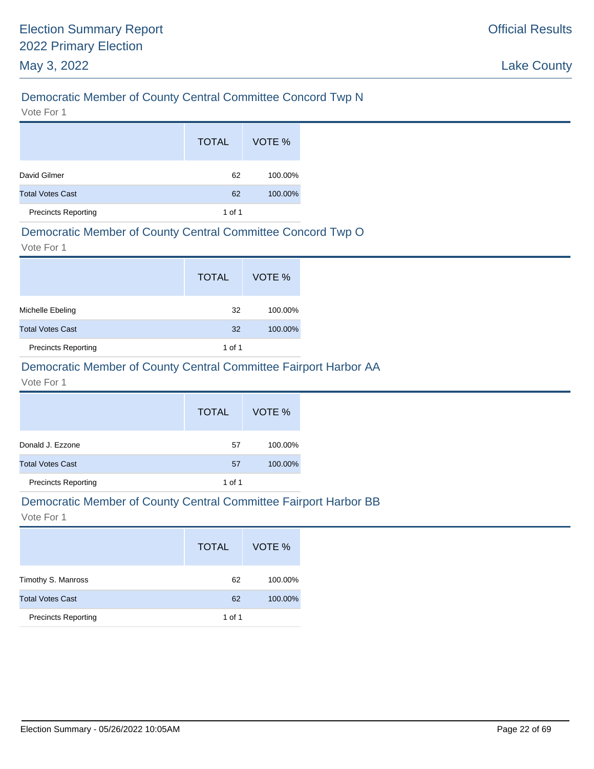# Democratic Member of County Central Committee Concord Twp N

Vote For 1

|                            | <b>TOTAL</b> | VOTE %  |
|----------------------------|--------------|---------|
| David Gilmer               | 62           | 100.00% |
| <b>Total Votes Cast</b>    | 62           | 100.00% |
| <b>Precincts Reporting</b> | 1 of 1       |         |

### Democratic Member of County Central Committee Concord Twp O

Vote For 1

|                            | <b>TOTAL</b> | VOTE %  |
|----------------------------|--------------|---------|
| Michelle Ebeling           | 32           | 100.00% |
| <b>Total Votes Cast</b>    | 32           | 100.00% |
| <b>Precincts Reporting</b> | 1 of 1       |         |

# Democratic Member of County Central Committee Fairport Harbor AA

#### Vote For 1

|                            | <b>TOTAL</b> | VOTE %  |
|----------------------------|--------------|---------|
| Donald J. Ezzone           | 57           | 100.00% |
| <b>Total Votes Cast</b>    | 57           | 100.00% |
| <b>Precincts Reporting</b> | 1 of 1       |         |

#### Democratic Member of County Central Committee Fairport Harbor BB

|                            | <b>TOTAL</b> | VOTE %  |
|----------------------------|--------------|---------|
| Timothy S. Manross         | 62           | 100.00% |
| <b>Total Votes Cast</b>    | 62           | 100.00% |
| <b>Precincts Reporting</b> | 1 of 1       |         |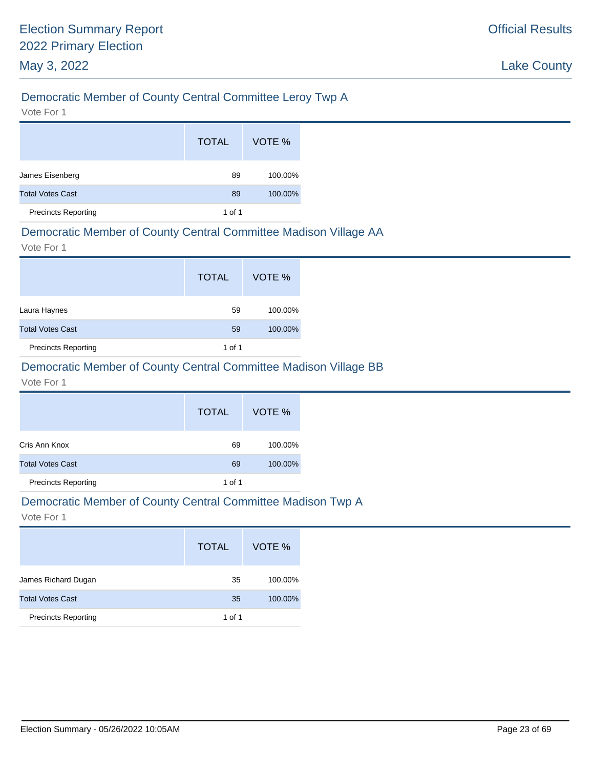# Democratic Member of County Central Committee Leroy Twp A

Vote For 1

|                            | <b>TOTAL</b> | VOTE %  |
|----------------------------|--------------|---------|
| James Eisenberg            | 89           | 100.00% |
| <b>Total Votes Cast</b>    | 89           | 100.00% |
| <b>Precincts Reporting</b> | 1 of 1       |         |

### Democratic Member of County Central Committee Madison Village AA

Vote For 1

|                            | <b>TOTAL</b> | VOTE %  |
|----------------------------|--------------|---------|
| Laura Haynes               | 59           | 100.00% |
| <b>Total Votes Cast</b>    | 59           | 100.00% |
| <b>Precincts Reporting</b> | 1 of 1       |         |

# Democratic Member of County Central Committee Madison Village BB

#### Vote For 1

|                            | <b>TOTAL</b> | VOTE %  |
|----------------------------|--------------|---------|
| Cris Ann Knox              | 69           | 100.00% |
| <b>Total Votes Cast</b>    | 69           | 100.00% |
| <b>Precincts Reporting</b> | 1 of 1       |         |

#### Democratic Member of County Central Committee Madison Twp A

|                            | <b>TOTAL</b> | VOTE %  |
|----------------------------|--------------|---------|
| James Richard Dugan        | 35           | 100.00% |
| <b>Total Votes Cast</b>    | 35           | 100.00% |
| <b>Precincts Reporting</b> | 1 of 1       |         |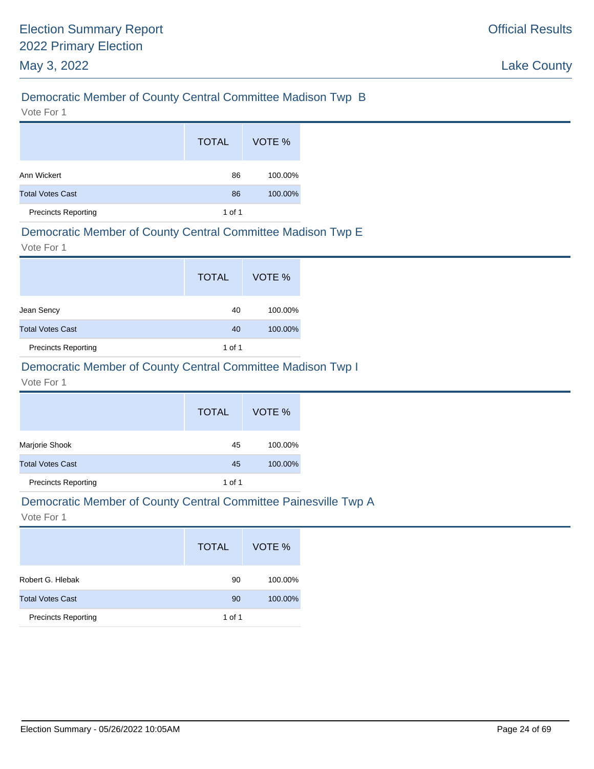# Democratic Member of County Central Committee Madison Twp B

Vote For 1

|                            | <b>TOTAL</b> | VOTE %  |
|----------------------------|--------------|---------|
| Ann Wickert                | 86           | 100.00% |
| <b>Total Votes Cast</b>    | 86           | 100.00% |
| <b>Precincts Reporting</b> | 1 of 1       |         |

#### Democratic Member of County Central Committee Madison Twp E

Vote For 1

|                            | <b>TOTAL</b> | VOTE %  |
|----------------------------|--------------|---------|
| Jean Sency                 | 40           | 100.00% |
| <b>Total Votes Cast</b>    | 40           | 100.00% |
| <b>Precincts Reporting</b> | 1 of 1       |         |

# Democratic Member of County Central Committee Madison Twp I

Vote For 1

|                            | <b>TOTAL</b> | VOTE %  |
|----------------------------|--------------|---------|
| Marjorie Shook             | 45           | 100.00% |
| <b>Total Votes Cast</b>    | 45           | 100.00% |
| <b>Precincts Reporting</b> | 1 of 1       |         |

#### Democratic Member of County Central Committee Painesville Twp A

|                            | <b>TOTAL</b> | VOTE %  |
|----------------------------|--------------|---------|
| Robert G. Hlebak           | 90           | 100.00% |
| <b>Total Votes Cast</b>    | 90           | 100.00% |
| <b>Precincts Reporting</b> | 1 of 1       |         |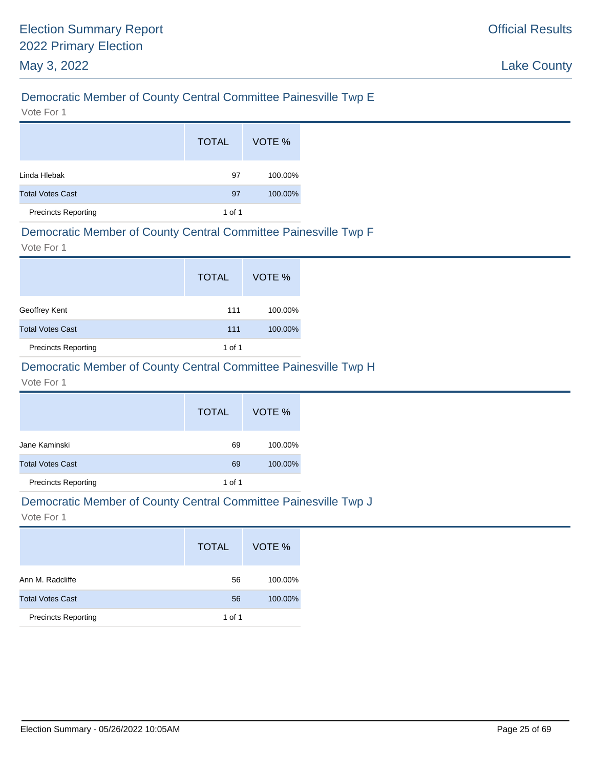# Democratic Member of County Central Committee Painesville Twp E

Vote For 1

|                            | <b>TOTAL</b> | VOTE %  |
|----------------------------|--------------|---------|
| Linda Hlebak               | 97           | 100.00% |
| <b>Total Votes Cast</b>    | 97           | 100.00% |
| <b>Precincts Reporting</b> | 1 of 1       |         |

### Democratic Member of County Central Committee Painesville Twp F

Vote For 1

|                            | <b>TOTAL</b> | VOTE %  |
|----------------------------|--------------|---------|
| Geoffrey Kent              | 111          | 100.00% |
| <b>Total Votes Cast</b>    | 111          | 100.00% |
| <b>Precincts Reporting</b> | 1 of 1       |         |

# Democratic Member of County Central Committee Painesville Twp H

Vote For 1

|                            | <b>TOTAL</b> | VOTE %  |
|----------------------------|--------------|---------|
| Jane Kaminski              | 69           | 100.00% |
| <b>Total Votes Cast</b>    | 69           | 100.00% |
| <b>Precincts Reporting</b> | 1 of 1       |         |

#### Democratic Member of County Central Committee Painesville Twp J

|                            | <b>TOTAL</b> | VOTE %  |
|----------------------------|--------------|---------|
| Ann M. Radcliffe           | 56           | 100.00% |
| <b>Total Votes Cast</b>    | 56           | 100.00% |
| <b>Precincts Reporting</b> | 1 of 1       |         |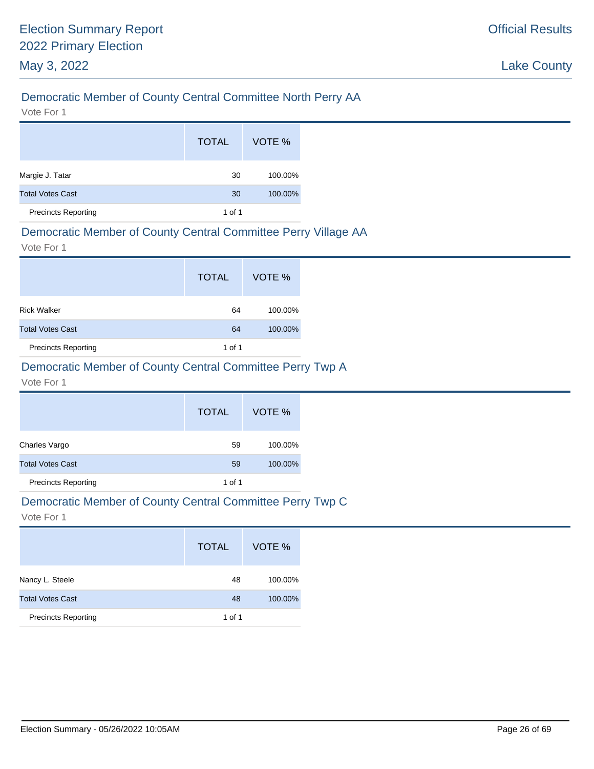# Democratic Member of County Central Committee North Perry AA

Vote For 1

|                            | <b>TOTAL</b> | VOTE %  |
|----------------------------|--------------|---------|
| Margie J. Tatar            | 30           | 100.00% |
| <b>Total Votes Cast</b>    | 30           | 100.00% |
| <b>Precincts Reporting</b> | 1 of 1       |         |

#### Democratic Member of County Central Committee Perry Village AA

Vote For 1

|                            | <b>TOTAL</b> | VOTE %  |
|----------------------------|--------------|---------|
| <b>Rick Walker</b>         | 64           | 100.00% |
| <b>Total Votes Cast</b>    | 64           | 100.00% |
| <b>Precincts Reporting</b> | 1 of 1       |         |

# Democratic Member of County Central Committee Perry Twp A

Vote For 1

|                            | <b>TOTAL</b> | VOTE %  |
|----------------------------|--------------|---------|
| Charles Vargo              | 59           | 100.00% |
| <b>Total Votes Cast</b>    | 59           | 100.00% |
| <b>Precincts Reporting</b> | 1 of 1       |         |

#### Democratic Member of County Central Committee Perry Twp C

|                            | <b>TOTAL</b> | VOTE %  |
|----------------------------|--------------|---------|
| Nancy L. Steele            | 48           | 100.00% |
| <b>Total Votes Cast</b>    | 48           | 100.00% |
| <b>Precincts Reporting</b> | 1 of 1       |         |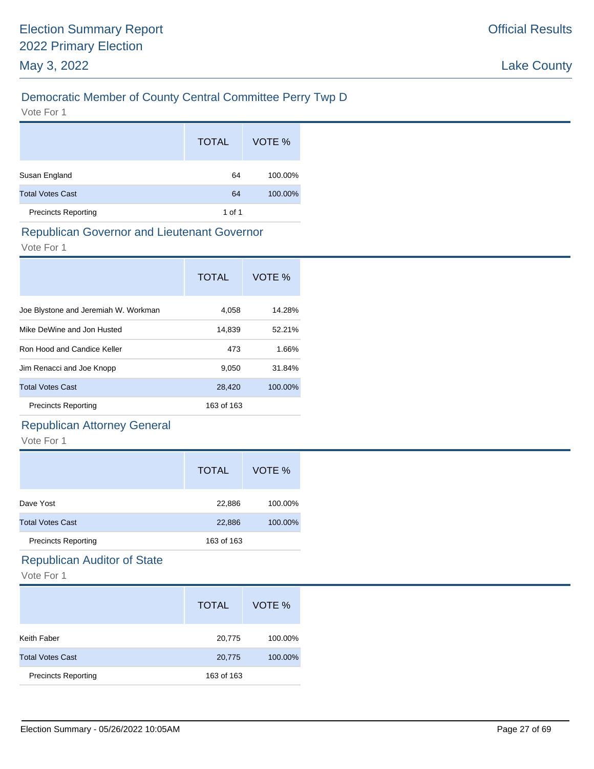# Democratic Member of County Central Committee Perry Twp D

Vote For 1

|                            | <b>TOTAL</b> | VOTE %  |
|----------------------------|--------------|---------|
| Susan England              | 64           | 100.00% |
| <b>Total Votes Cast</b>    | 64           | 100.00% |
| <b>Precincts Reporting</b> | 1 of 1       |         |

#### Republican Governor and Lieutenant Governor

Vote For 1

|                                      | <b>TOTAL</b> | VOTE %  |
|--------------------------------------|--------------|---------|
| Joe Blystone and Jeremiah W. Workman | 4,058        | 14.28%  |
| Mike DeWine and Jon Husted           | 14,839       | 52.21%  |
| Ron Hood and Candice Keller          | 473          | 1.66%   |
| Jim Renacci and Joe Knopp            | 9,050        | 31.84%  |
| <b>Total Votes Cast</b>              | 28,420       | 100.00% |
| <b>Precincts Reporting</b>           | 163 of 163   |         |

# Republican Attorney General

Vote For 1

|                            | <b>TOTAL</b> | VOTE %  |
|----------------------------|--------------|---------|
| Dave Yost                  | 22,886       | 100.00% |
| <b>Total Votes Cast</b>    | 22,886       | 100.00% |
| <b>Precincts Reporting</b> | 163 of 163   |         |

# Republican Auditor of State

|                            | <b>TOTAL</b> | VOTE %  |
|----------------------------|--------------|---------|
| Keith Faber                | 20,775       | 100.00% |
| <b>Total Votes Cast</b>    | 20,775       | 100.00% |
| <b>Precincts Reporting</b> | 163 of 163   |         |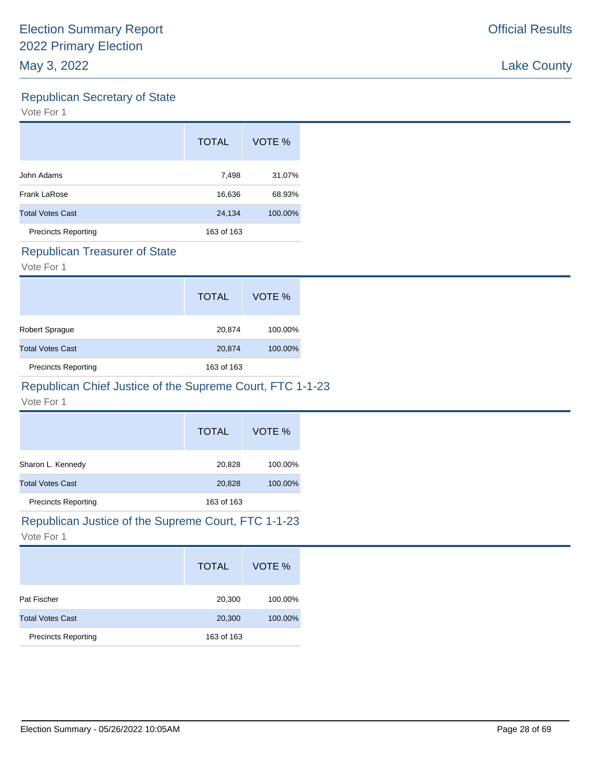# Republican Secretary of State

Vote For 1

|                            | <b>TOTAL</b> | VOTE %  |
|----------------------------|--------------|---------|
| John Adams                 | 7,498        | 31.07%  |
| Frank LaRose               | 16,636       | 68.93%  |
| <b>Total Votes Cast</b>    | 24,134       | 100.00% |
| <b>Precincts Reporting</b> | 163 of 163   |         |

#### Republican Treasurer of State

Vote For 1

|                            | <b>TOTAL</b> | VOTE %  |
|----------------------------|--------------|---------|
| Robert Sprague             | 20,874       | 100.00% |
| <b>Total Votes Cast</b>    | 20,874       | 100.00% |
| <b>Precincts Reporting</b> | 163 of 163   |         |

# Republican Chief Justice of the Supreme Court, FTC 1-1-23

Vote For 1

|                            | <b>TOTAL</b> | VOTE %  |
|----------------------------|--------------|---------|
| Sharon L. Kennedy          | 20,828       | 100.00% |
| <b>Total Votes Cast</b>    | 20,828       | 100.00% |
| <b>Precincts Reporting</b> | 163 of 163   |         |

# Republican Justice of the Supreme Court, FTC 1-1-23

|                            | <b>TOTAL</b> | VOTE %  |
|----------------------------|--------------|---------|
| Pat Fischer                | 20,300       | 100.00% |
| <b>Total Votes Cast</b>    | 20,300       | 100.00% |
| <b>Precincts Reporting</b> | 163 of 163   |         |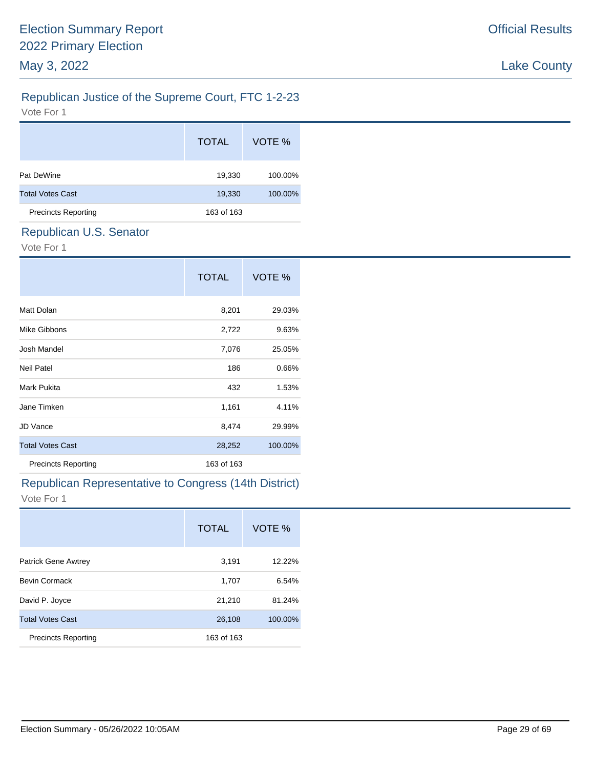# Official Results

# Republican Justice of the Supreme Court, FTC 1-2-23

Vote For 1

|                            | <b>TOTAL</b> | VOTE %  |
|----------------------------|--------------|---------|
| Pat DeWine                 | 19,330       | 100.00% |
| <b>Total Votes Cast</b>    | 19,330       | 100.00% |
| <b>Precincts Reporting</b> | 163 of 163   |         |
|                            |              |         |

# Republican U.S. Senator

Vote For 1

|                            | <b>TOTAL</b> | VOTE %  |
|----------------------------|--------------|---------|
| Matt Dolan                 | 8,201        | 29.03%  |
| Mike Gibbons               | 2,722        | 9.63%   |
| Josh Mandel                | 7,076        | 25.05%  |
| <b>Neil Patel</b>          | 186          | 0.66%   |
| Mark Pukita                | 432          | 1.53%   |
| Jane Timken                | 1,161        | 4.11%   |
| <b>JD Vance</b>            | 8,474        | 29.99%  |
| <b>Total Votes Cast</b>    | 28,252       | 100.00% |
| <b>Precincts Reporting</b> | 163 of 163   |         |

# Republican Representative to Congress (14th District)

|                            | <b>TOTAL</b> | VOTE %  |
|----------------------------|--------------|---------|
| <b>Patrick Gene Awtrey</b> | 3,191        | 12.22%  |
| <b>Bevin Cormack</b>       | 1,707        | 6.54%   |
| David P. Joyce             | 21,210       | 81.24%  |
| <b>Total Votes Cast</b>    | 26,108       | 100.00% |
| <b>Precincts Reporting</b> | 163 of 163   |         |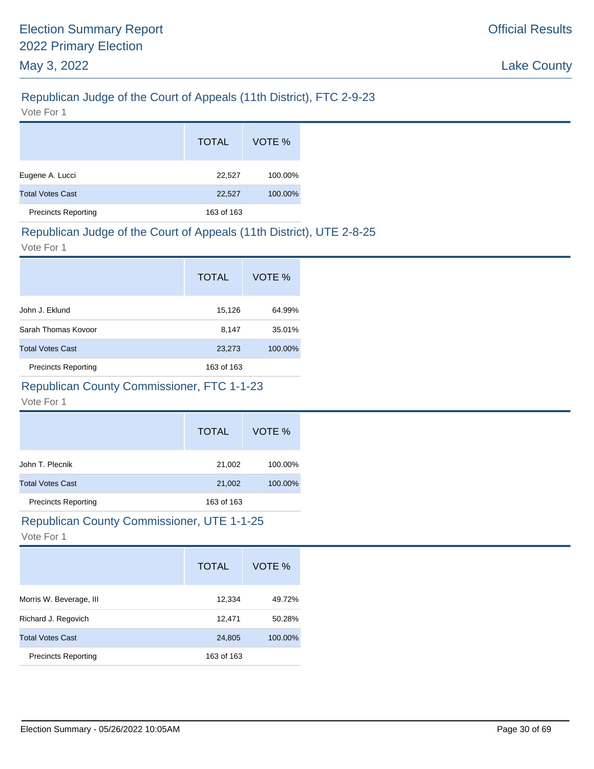# Republican Judge of the Court of Appeals (11th District), FTC 2-9-23

Vote For 1

|                            | <b>TOTAL</b> | VOTE %  |
|----------------------------|--------------|---------|
| Eugene A. Lucci            | 22,527       | 100.00% |
| <b>Total Votes Cast</b>    | 22,527       | 100.00% |
| <b>Precincts Reporting</b> | 163 of 163   |         |

# Republican Judge of the Court of Appeals (11th District), UTE 2-8-25

Vote For 1

|                            | <b>TOTAL</b> | VOTE %  |
|----------------------------|--------------|---------|
| John J. Eklund             | 15,126       | 64.99%  |
| Sarah Thomas Kovoor        | 8,147        | 35.01%  |
| <b>Total Votes Cast</b>    | 23,273       | 100.00% |
| <b>Precincts Reporting</b> | 163 of 163   |         |

# Republican County Commissioner, FTC 1-1-23

#### Vote For 1

|                            | <b>TOTAL</b> | VOTE %  |
|----------------------------|--------------|---------|
| John T. Plecnik            | 21,002       | 100.00% |
| <b>Total Votes Cast</b>    | 21,002       | 100.00% |
| <b>Precincts Reporting</b> | 163 of 163   |         |

# Republican County Commissioner, UTE 1-1-25

|                            | <b>TOTAL</b> | VOTE %  |
|----------------------------|--------------|---------|
| Morris W. Beverage, III    | 12,334       | 49.72%  |
| Richard J. Regovich        | 12,471       | 50.28%  |
| <b>Total Votes Cast</b>    | 24,805       | 100.00% |
| <b>Precincts Reporting</b> | 163 of 163   |         |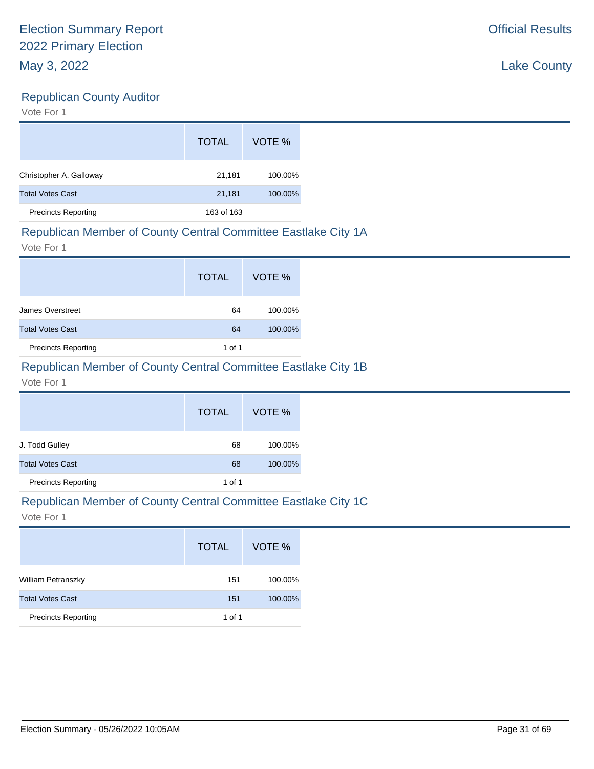# Republican County Auditor

Vote For 1

|                            | <b>TOTAL</b> | VOTE %  |
|----------------------------|--------------|---------|
| Christopher A. Galloway    | 21,181       | 100.00% |
| <b>Total Votes Cast</b>    | 21,181       | 100.00% |
| <b>Precincts Reporting</b> | 163 of 163   |         |

### Republican Member of County Central Committee Eastlake City 1A

Vote For 1

|                            | <b>TOTAL</b> | VOTE %  |
|----------------------------|--------------|---------|
| James Overstreet           | 64           | 100.00% |
| <b>Total Votes Cast</b>    | 64           | 100.00% |
| <b>Precincts Reporting</b> | 1 of 1       |         |

# Republican Member of County Central Committee Eastlake City 1B

#### Vote For 1

|                            | <b>TOTAL</b> | VOTE %  |
|----------------------------|--------------|---------|
| J. Todd Gulley             | 68           | 100.00% |
| <b>Total Votes Cast</b>    | 68           | 100.00% |
| <b>Precincts Reporting</b> | 1 of 1       |         |

#### Republican Member of County Central Committee Eastlake City 1C

|                            | <b>TOTAL</b> | VOTE %  |
|----------------------------|--------------|---------|
| <b>William Petranszky</b>  | 151          | 100.00% |
| <b>Total Votes Cast</b>    | 151          | 100.00% |
| <b>Precincts Reporting</b> | 1 of 1       |         |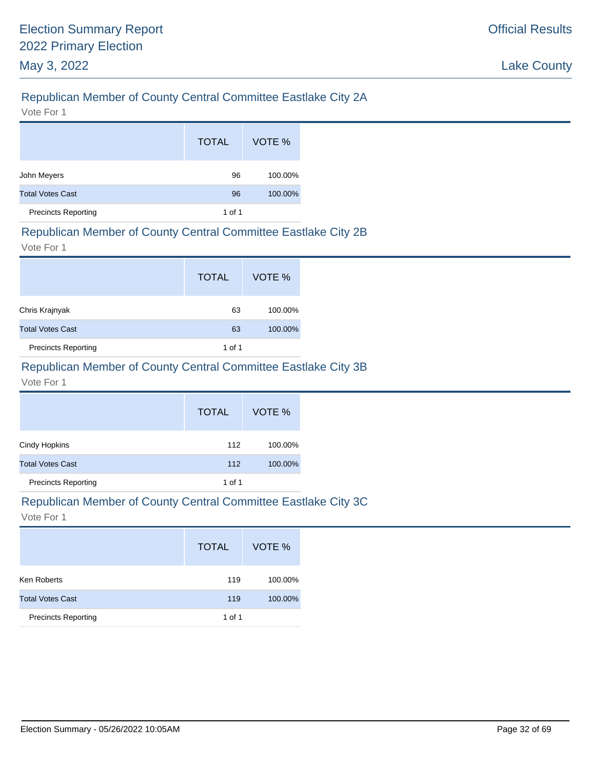# Republican Member of County Central Committee Eastlake City 2A

Vote For 1

|                            | <b>TOTAL</b> | VOTE %  |
|----------------------------|--------------|---------|
| John Meyers                | 96           | 100.00% |
| <b>Total Votes Cast</b>    | 96           | 100.00% |
| <b>Precincts Reporting</b> | 1 of 1       |         |

#### Republican Member of County Central Committee Eastlake City 2B

Vote For 1

|                            | <b>TOTAL</b> | VOTE %  |
|----------------------------|--------------|---------|
| Chris Krajnyak             | 63           | 100.00% |
| <b>Total Votes Cast</b>    | 63           | 100.00% |
| <b>Precincts Reporting</b> | 1 of 1       |         |

# Republican Member of County Central Committee Eastlake City 3B

#### Vote For 1

|                            | <b>TOTAL</b> | VOTE %  |
|----------------------------|--------------|---------|
| Cindy Hopkins              | 112          | 100.00% |
| <b>Total Votes Cast</b>    | 112          | 100.00% |
| <b>Precincts Reporting</b> | 1 of 1       |         |

# Republican Member of County Central Committee Eastlake City 3C

|                            | <b>TOTAL</b> | VOTE %  |
|----------------------------|--------------|---------|
| Ken Roberts                | 119          | 100.00% |
| <b>Total Votes Cast</b>    | 119          | 100.00% |
| <b>Precincts Reporting</b> | 1 of 1       |         |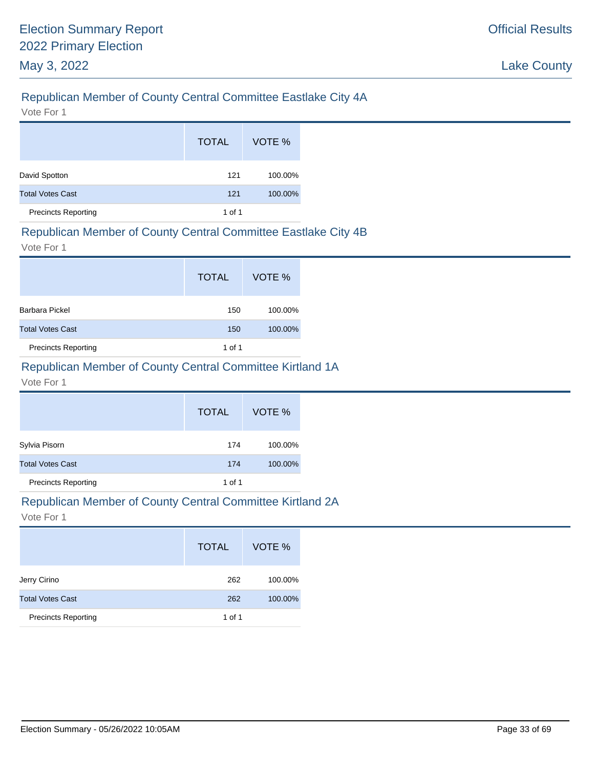# Republican Member of County Central Committee Eastlake City 4A

Vote For 1

|                            | <b>TOTAL</b>   | VOTE %  |
|----------------------------|----------------|---------|
| David Spotton              | 121            | 100.00% |
| <b>Total Votes Cast</b>    | 100.00%<br>121 |         |
| <b>Precincts Reporting</b> | 1 of 1         |         |

### Republican Member of County Central Committee Eastlake City 4B

Vote For 1

|                            | <b>TOTAL</b> | VOTE %  |
|----------------------------|--------------|---------|
| Barbara Pickel             | 150          | 100.00% |
| <b>Total Votes Cast</b>    | 150          | 100.00% |
| <b>Precincts Reporting</b> | 1 of 1       |         |

### Republican Member of County Central Committee Kirtland 1A

Vote For 1

|                            | <b>TOTAL</b> | VOTE %  |
|----------------------------|--------------|---------|
| Sylvia Pisorn              | 174          | 100.00% |
| <b>Total Votes Cast</b>    | 174          | 100.00% |
| <b>Precincts Reporting</b> | 1 of 1       |         |

#### Republican Member of County Central Committee Kirtland 2A

|                            | <b>TOTAL</b> | VOTE %  |
|----------------------------|--------------|---------|
| Jerry Cirino               | 262          | 100.00% |
| <b>Total Votes Cast</b>    | 262          | 100.00% |
| <b>Precincts Reporting</b> | 1 of 1       |         |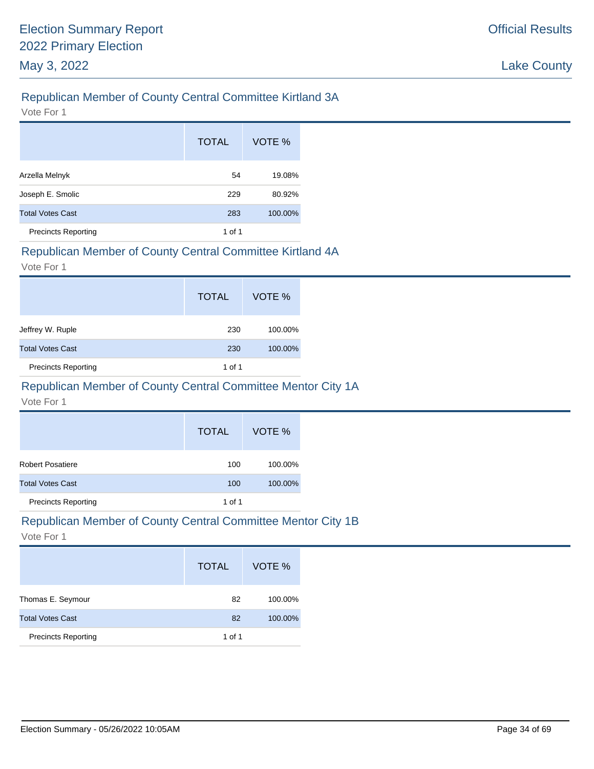# Republican Member of County Central Committee Kirtland 3A

Vote For 1

|                            | <b>TOTAL</b> | VOTE %  |
|----------------------------|--------------|---------|
| Arzella Melnyk             | 54           | 19.08%  |
| Joseph E. Smolic           | 229          | 80.92%  |
| <b>Total Votes Cast</b>    | 283          | 100.00% |
| <b>Precincts Reporting</b> | 1 of 1       |         |

### Republican Member of County Central Committee Kirtland 4A

Vote For 1

|                            | <b>TOTAL</b> | VOTE %  |
|----------------------------|--------------|---------|
| Jeffrey W. Ruple           | 230          | 100.00% |
| <b>Total Votes Cast</b>    | 230          | 100.00% |
| <b>Precincts Reporting</b> | 1 of 1       |         |

# Republican Member of County Central Committee Mentor City 1A

Vote For 1

|                            | <b>TOTAL</b> | VOTE %  |
|----------------------------|--------------|---------|
| Robert Posatiere           | 100          | 100.00% |
| <b>Total Votes Cast</b>    | 100          | 100.00% |
| <b>Precincts Reporting</b> | 1 of 1       |         |

# Republican Member of County Central Committee Mentor City 1B

|                            | <b>TOTAL</b> | VOTE %  |
|----------------------------|--------------|---------|
| Thomas E. Seymour          | 82           | 100.00% |
| <b>Total Votes Cast</b>    | 82           | 100.00% |
| <b>Precincts Reporting</b> | 1 of 1       |         |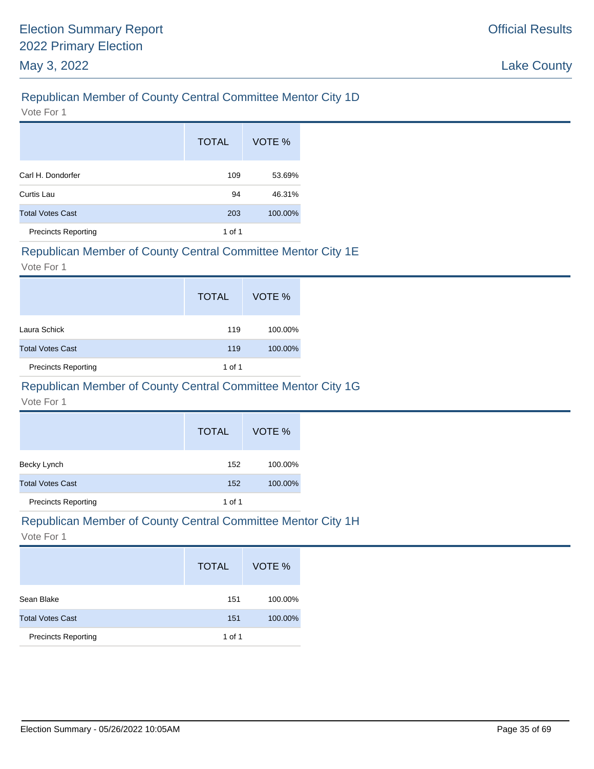# Republican Member of County Central Committee Mentor City 1D

Vote For 1

|                            | <b>TOTAL</b> | VOTE %  |
|----------------------------|--------------|---------|
| Carl H. Dondorfer          | 109          | 53.69%  |
| Curtis Lau                 | 94           | 46.31%  |
| <b>Total Votes Cast</b>    | 203          | 100.00% |
| <b>Precincts Reporting</b> | 1 of 1       |         |

#### Republican Member of County Central Committee Mentor City 1E

Vote For 1

|                            | <b>TOTAL</b> | VOTE %  |
|----------------------------|--------------|---------|
| Laura Schick               | 119          | 100.00% |
| <b>Total Votes Cast</b>    | 119          | 100.00% |
| <b>Precincts Reporting</b> | 1 of 1       |         |

# Republican Member of County Central Committee Mentor City 1G

Vote For 1

|                            | <b>TOTAL</b> | VOTE %  |
|----------------------------|--------------|---------|
| Becky Lynch                | 152          | 100.00% |
| <b>Total Votes Cast</b>    | 152          | 100.00% |
| <b>Precincts Reporting</b> | 1 of 1       |         |

# Republican Member of County Central Committee Mentor City 1H

|                            | <b>TOTAL</b> | VOTE %  |
|----------------------------|--------------|---------|
| Sean Blake                 | 151          | 100.00% |
| <b>Total Votes Cast</b>    | 151          | 100.00% |
| <b>Precincts Reporting</b> | 1 of 1       |         |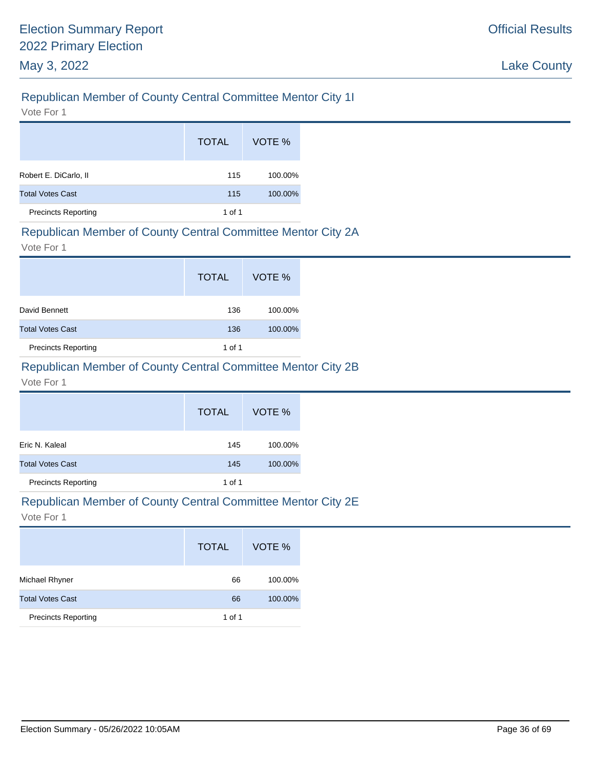# Republican Member of County Central Committee Mentor City 1I

Vote For 1

|                            | <b>TOTAL</b> | VOTE %  |
|----------------------------|--------------|---------|
| Robert E. DiCarlo, II      | 115          | 100.00% |
| <b>Total Votes Cast</b>    | 115          | 100.00% |
| <b>Precincts Reporting</b> | 1 of 1       |         |

#### Republican Member of County Central Committee Mentor City 2A

Vote For 1

|                            | <b>TOTAL</b> | VOTE %  |
|----------------------------|--------------|---------|
| David Bennett              | 136          | 100.00% |
| <b>Total Votes Cast</b>    | 136          | 100.00% |
| <b>Precincts Reporting</b> | 1 of 1       |         |

### Republican Member of County Central Committee Mentor City 2B

Vote For 1

|                            | <b>TOTAL</b> | VOTE %  |
|----------------------------|--------------|---------|
| Eric N. Kaleal             | 145          | 100.00% |
| <b>Total Votes Cast</b>    | 145          | 100.00% |
| <b>Precincts Reporting</b> | 1 of 1       |         |

#### Republican Member of County Central Committee Mentor City 2E

|                            | <b>TOTAL</b> | VOTE %  |
|----------------------------|--------------|---------|
| Michael Rhyner             | 66           | 100.00% |
| <b>Total Votes Cast</b>    | 66           | 100.00% |
| <b>Precincts Reporting</b> | 1 of 1       |         |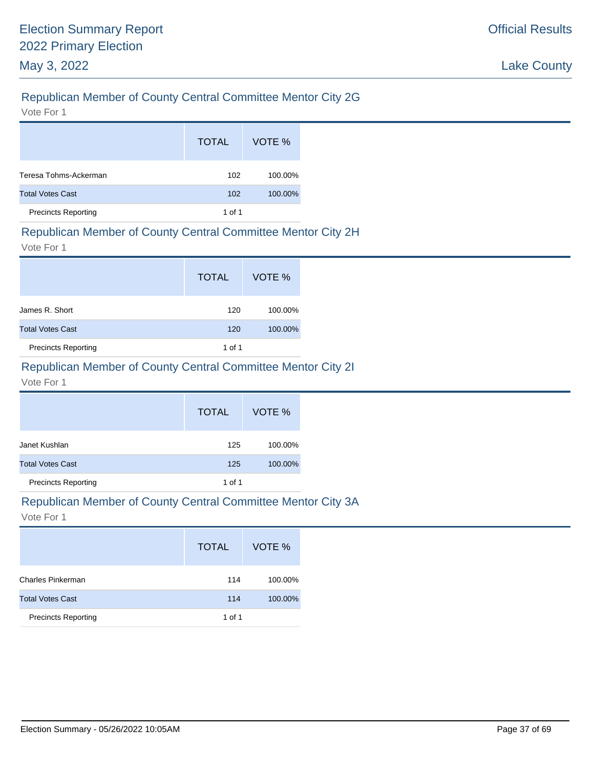# Republican Member of County Central Committee Mentor City 2G

Vote For 1

|                            | <b>TOTAL</b> | VOTE %  |
|----------------------------|--------------|---------|
| Teresa Tohms-Ackerman      | 102          | 100.00% |
| <b>Total Votes Cast</b>    | 102          | 100.00% |
| <b>Precincts Reporting</b> | 1 of 1       |         |

#### Republican Member of County Central Committee Mentor City 2H

Vote For 1

|                            | <b>TOTAL</b> | VOTE %  |
|----------------------------|--------------|---------|
| James R. Short             | 120          | 100.00% |
| <b>Total Votes Cast</b>    | 120          | 100.00% |
| <b>Precincts Reporting</b> | 1 of 1       |         |

# Republican Member of County Central Committee Mentor City 2I

#### Vote For 1

|                            | <b>TOTAL</b> | VOTE %  |
|----------------------------|--------------|---------|
| Janet Kushlan              | 125          | 100.00% |
| <b>Total Votes Cast</b>    | 125          | 100.00% |
| <b>Precincts Reporting</b> | 1 of 1       |         |

#### Republican Member of County Central Committee Mentor City 3A

|                            | <b>TOTAL</b> | VOTE %  |
|----------------------------|--------------|---------|
| <b>Charles Pinkerman</b>   | 114          | 100.00% |
| <b>Total Votes Cast</b>    | 114          | 100.00% |
| <b>Precincts Reporting</b> | 1 of 1       |         |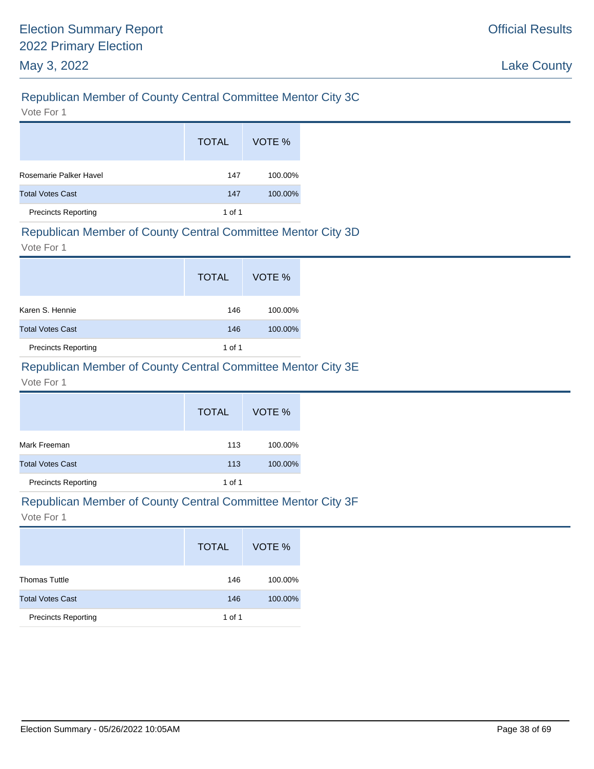# Republican Member of County Central Committee Mentor City 3C

Vote For 1

|                            | <b>TOTAL</b> | VOTE %  |
|----------------------------|--------------|---------|
| Rosemarie Palker Havel     | 147          | 100.00% |
| <b>Total Votes Cast</b>    | 147          | 100.00% |
| <b>Precincts Reporting</b> | 1 of 1       |         |

#### Republican Member of County Central Committee Mentor City 3D

Vote For 1

|                            | <b>TOTAL</b> | VOTE %  |
|----------------------------|--------------|---------|
| Karen S. Hennie            | 146          | 100.00% |
| <b>Total Votes Cast</b>    | 146          | 100.00% |
| <b>Precincts Reporting</b> | 1 of 1       |         |

# Republican Member of County Central Committee Mentor City 3E

Vote For 1

|                            | <b>TOTAL</b> | VOTE %  |
|----------------------------|--------------|---------|
| Mark Freeman               | 113          | 100.00% |
| <b>Total Votes Cast</b>    | 113          | 100.00% |
| <b>Precincts Reporting</b> | 1 of 1       |         |

#### Republican Member of County Central Committee Mentor City 3F

|                            | <b>TOTAL</b> | VOTE %  |
|----------------------------|--------------|---------|
| <b>Thomas Tuttle</b>       | 146          | 100.00% |
| <b>Total Votes Cast</b>    | 146          | 100.00% |
| <b>Precincts Reporting</b> | 1 of 1       |         |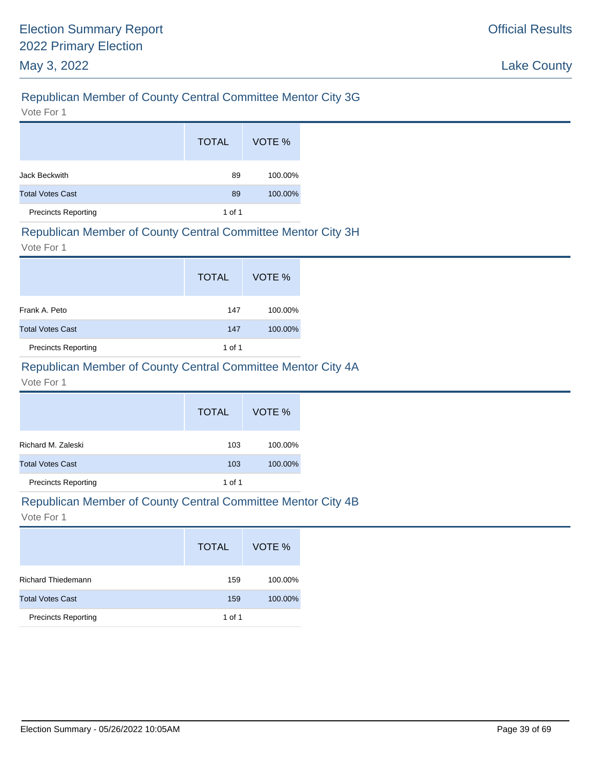# Republican Member of County Central Committee Mentor City 3G

Vote For 1

|                            | <b>TOTAL</b> | VOTE %  |
|----------------------------|--------------|---------|
| Jack Beckwith              | 89           | 100.00% |
| <b>Total Votes Cast</b>    | 89           | 100.00% |
| <b>Precincts Reporting</b> | 1 of 1       |         |

#### Republican Member of County Central Committee Mentor City 3H

Vote For 1

|                            | <b>TOTAL</b> | VOTE %  |
|----------------------------|--------------|---------|
| Frank A. Peto              | 147          | 100.00% |
| <b>Total Votes Cast</b>    | 147          | 100.00% |
| <b>Precincts Reporting</b> | 1 of 1       |         |

# Republican Member of County Central Committee Mentor City 4A

Vote For 1

|                            | <b>TOTAL</b> | VOTE %  |
|----------------------------|--------------|---------|
| Richard M. Zaleski         | 103          | 100.00% |
| <b>Total Votes Cast</b>    | 103          | 100.00% |
| <b>Precincts Reporting</b> | 1 of 1       |         |

#### Republican Member of County Central Committee Mentor City 4B

|                            | <b>TOTAL</b> | VOTE %  |
|----------------------------|--------------|---------|
| <b>Richard Thiedemann</b>  | 159          | 100.00% |
| <b>Total Votes Cast</b>    | 159          | 100.00% |
| <b>Precincts Reporting</b> | 1 of 1       |         |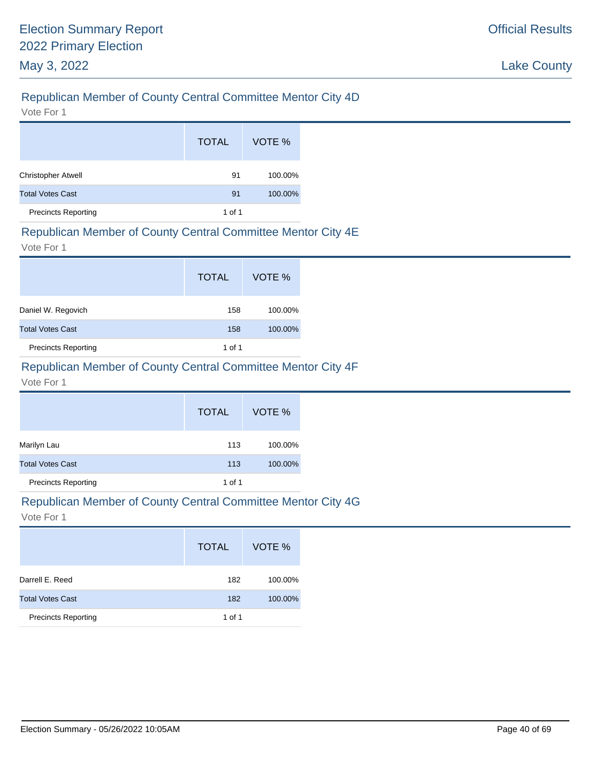# Republican Member of County Central Committee Mentor City 4D

Vote For 1

|                            | <b>TOTAL</b> | VOTE %  |
|----------------------------|--------------|---------|
| <b>Christopher Atwell</b>  | 91           | 100.00% |
| <b>Total Votes Cast</b>    | 91           | 100.00% |
| <b>Precincts Reporting</b> | 1 of 1       |         |

#### Republican Member of County Central Committee Mentor City 4E

Vote For 1

|                            | <b>TOTAL</b> | VOTE %  |
|----------------------------|--------------|---------|
| Daniel W. Regovich         | 158          | 100.00% |
| <b>Total Votes Cast</b>    | 158          | 100.00% |
| <b>Precincts Reporting</b> | 1 of 1       |         |

### Republican Member of County Central Committee Mentor City 4F

Vote For 1

|                            | <b>TOTAL</b> | VOTE %  |
|----------------------------|--------------|---------|
| Marilyn Lau                | 113          | 100.00% |
| <b>Total Votes Cast</b>    | 113          | 100.00% |
| <b>Precincts Reporting</b> | 1 of 1       |         |

#### Republican Member of County Central Committee Mentor City 4G

|                            | <b>TOTAL</b> | VOTE %  |
|----------------------------|--------------|---------|
| Darrell E. Reed            | 182          | 100.00% |
| <b>Total Votes Cast</b>    | 182          | 100.00% |
| <b>Precincts Reporting</b> | 1 of 1       |         |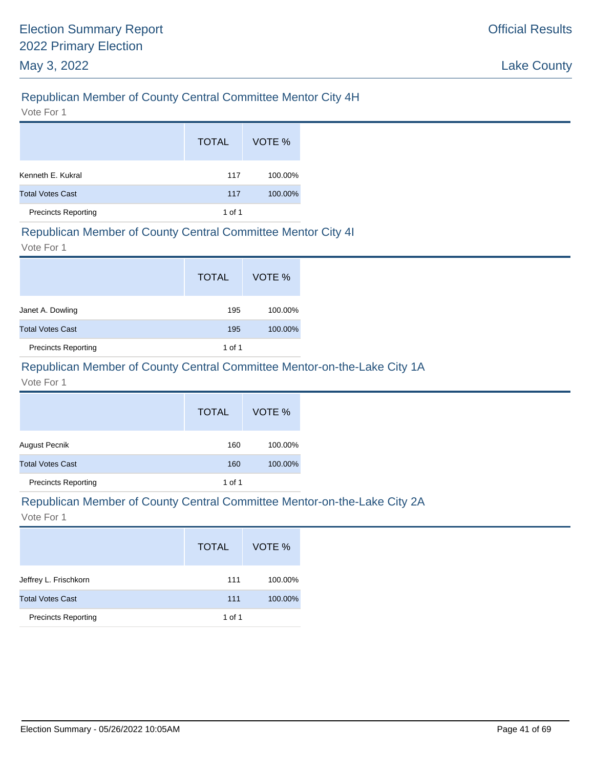# Republican Member of County Central Committee Mentor City 4H

Vote For 1

|                            | <b>TOTAL</b> | VOTE %  |
|----------------------------|--------------|---------|
| Kenneth E. Kukral          | 117          | 100.00% |
| <b>Total Votes Cast</b>    | 117          | 100.00% |
| <b>Precincts Reporting</b> | 1 of 1       |         |

#### Republican Member of County Central Committee Mentor City 4I

Vote For 1

|                            | <b>TOTAL</b> | VOTE %  |
|----------------------------|--------------|---------|
| Janet A. Dowling           | 195          | 100.00% |
| <b>Total Votes Cast</b>    | 195          | 100.00% |
| <b>Precincts Reporting</b> | 1 of 1       |         |

### Republican Member of County Central Committee Mentor-on-the-Lake City 1A

Vote For 1

|                            | <b>TOTAL</b> | VOTE %  |
|----------------------------|--------------|---------|
| August Pecnik              | 160          | 100.00% |
| <b>Total Votes Cast</b>    | 160          | 100.00% |
| <b>Precincts Reporting</b> | 1 of 1       |         |

#### Republican Member of County Central Committee Mentor-on-the-Lake City 2A

|                            | <b>TOTAL</b> | VOTE %  |
|----------------------------|--------------|---------|
| Jeffrey L. Frischkorn      | 111          | 100.00% |
| <b>Total Votes Cast</b>    | 111          | 100.00% |
| <b>Precincts Reporting</b> | 1 of 1       |         |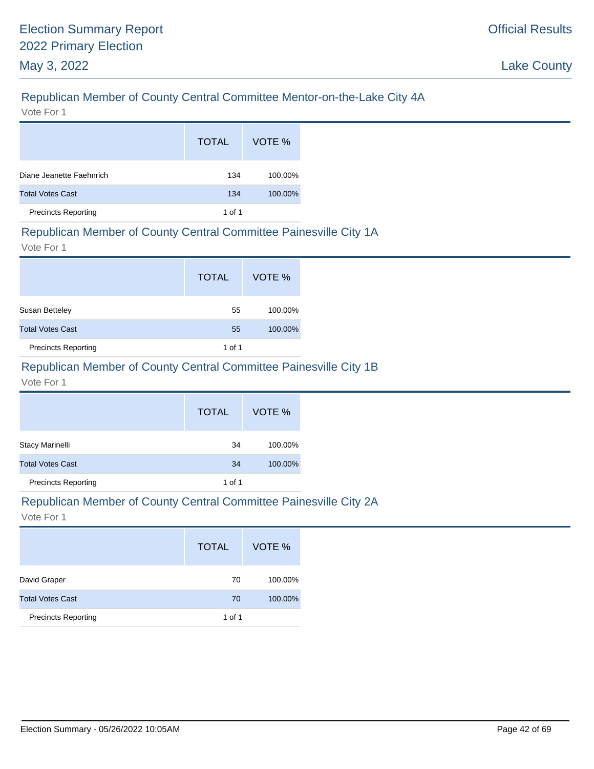# Republican Member of County Central Committee Mentor-on-the-Lake City 4A

Vote For 1

|                            | <b>TOTAL</b> | VOTE %  |
|----------------------------|--------------|---------|
| Diane Jeanette Faehnrich   | 134          | 100.00% |
| <b>Total Votes Cast</b>    | 134          | 100.00% |
| <b>Precincts Reporting</b> | 1 of 1       |         |

# Republican Member of County Central Committee Painesville City 1A

Vote For 1

|                            | <b>TOTAL</b> | VOTE %  |
|----------------------------|--------------|---------|
| Susan Betteley             | 55           | 100.00% |
| <b>Total Votes Cast</b>    | 55           | 100.00% |
| <b>Precincts Reporting</b> | 1 of 1       |         |

# Republican Member of County Central Committee Painesville City 1B

#### Vote For 1

|                            | <b>TOTAL</b> | VOTE %  |
|----------------------------|--------------|---------|
| <b>Stacy Marinelli</b>     | 34           | 100.00% |
| <b>Total Votes Cast</b>    | 34           | 100.00% |
| <b>Precincts Reporting</b> | 1 of 1       |         |

#### Republican Member of County Central Committee Painesville City 2A

|                            | <b>TOTAL</b> | VOTE %  |
|----------------------------|--------------|---------|
| David Graper               | 70           | 100.00% |
| <b>Total Votes Cast</b>    | 70           | 100.00% |
| <b>Precincts Reporting</b> | 1 of 1       |         |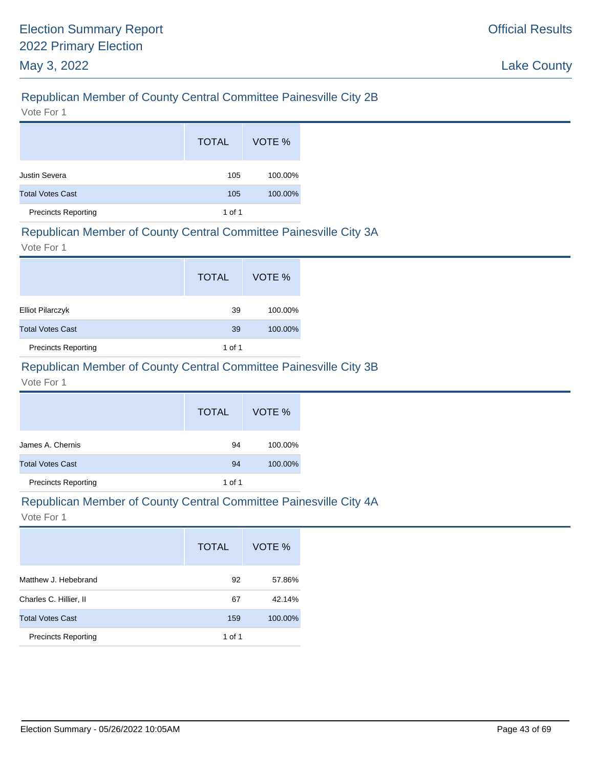# Republican Member of County Central Committee Painesville City 2B

Vote For 1

|                            | <b>TOTAL</b> | VOTE %  |
|----------------------------|--------------|---------|
| Justin Severa              | 105          | 100.00% |
| <b>Total Votes Cast</b>    | 105          | 100.00% |
| <b>Precincts Reporting</b> | 1 of 1       |         |

#### Republican Member of County Central Committee Painesville City 3A

Vote For 1

|                            | <b>TOTAL</b> | VOTE %  |
|----------------------------|--------------|---------|
| <b>Elliot Pilarczyk</b>    | 39           | 100.00% |
| <b>Total Votes Cast</b>    | 39           | 100.00% |
| <b>Precincts Reporting</b> | 1 of 1       |         |

# Republican Member of County Central Committee Painesville City 3B

Vote For 1

|                            | <b>TOTAL</b> | VOTE %  |
|----------------------------|--------------|---------|
| James A. Chernis           | 94           | 100.00% |
| <b>Total Votes Cast</b>    | 94           | 100.00% |
| <b>Precincts Reporting</b> | 1 of 1       |         |

#### Republican Member of County Central Committee Painesville City 4A

|                            | <b>TOTAL</b> | VOTE %  |
|----------------------------|--------------|---------|
| Matthew J. Hebebrand       | 92           | 57.86%  |
| Charles C. Hillier, II     | 67           | 42.14%  |
| <b>Total Votes Cast</b>    | 159          | 100.00% |
| <b>Precincts Reporting</b> | 1 of 1       |         |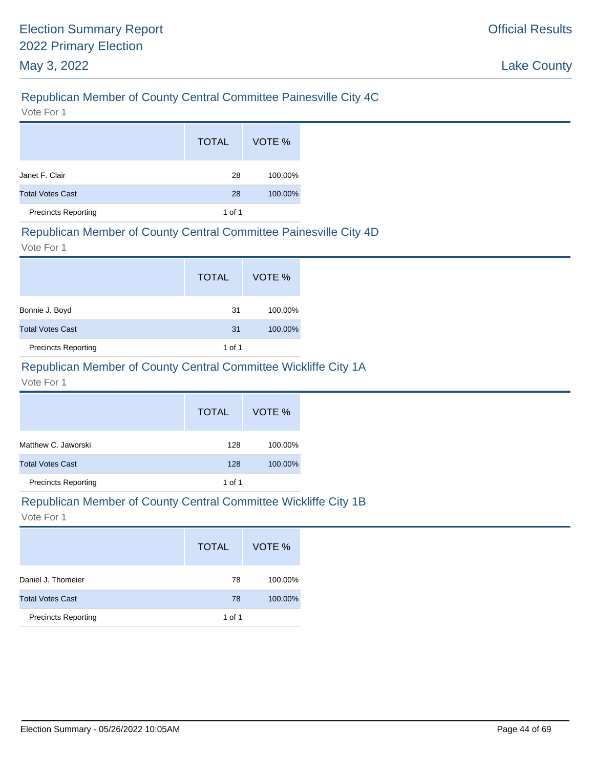# Republican Member of County Central Committee Painesville City 4C

Vote For 1

|                            | <b>TOTAL</b> | VOTE %  |
|----------------------------|--------------|---------|
| Janet F. Clair             | 28           | 100.00% |
| <b>Total Votes Cast</b>    | 28           | 100.00% |
| <b>Precincts Reporting</b> | 1 of 1       |         |

#### Republican Member of County Central Committee Painesville City 4D

Vote For 1

|                            | <b>TOTAL</b> | VOTE %  |
|----------------------------|--------------|---------|
| Bonnie J. Boyd             | -31          | 100.00% |
| <b>Total Votes Cast</b>    | 31           | 100.00% |
| <b>Precincts Reporting</b> | 1 of 1       |         |

# Republican Member of County Central Committee Wickliffe City 1A

Vote For 1

|                            | <b>TOTAL</b> | VOTE %  |
|----------------------------|--------------|---------|
| Matthew C. Jaworski        | 128          | 100.00% |
| <b>Total Votes Cast</b>    | 128          | 100.00% |
| <b>Precincts Reporting</b> | 1 of 1       |         |

#### Republican Member of County Central Committee Wickliffe City 1B

|                            | <b>TOTAL</b> | VOTE %  |
|----------------------------|--------------|---------|
| Daniel J. Thomeier         | 78           | 100.00% |
| <b>Total Votes Cast</b>    | 78           | 100.00% |
| <b>Precincts Reporting</b> | 1 of 1       |         |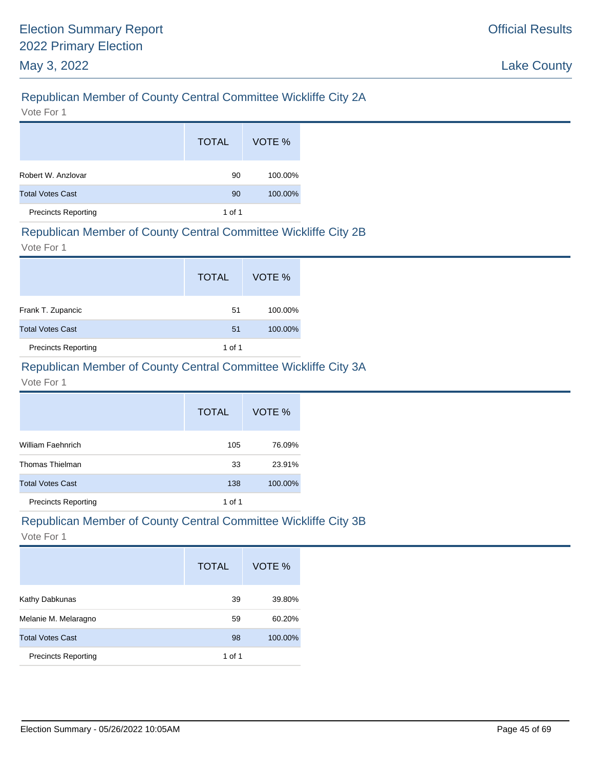# Republican Member of County Central Committee Wickliffe City 2A

Vote For 1

|                            | <b>TOTAL</b> | VOTE %  |
|----------------------------|--------------|---------|
| Robert W. Anzlovar         | 90           | 100.00% |
| <b>Total Votes Cast</b>    | 90           | 100.00% |
| <b>Precincts Reporting</b> | 1 of 1       |         |

#### Republican Member of County Central Committee Wickliffe City 2B

Vote For 1

|                            | <b>TOTAL</b> | VOTE %  |
|----------------------------|--------------|---------|
| Frank T. Zupancic          | 51           | 100.00% |
| <b>Total Votes Cast</b>    | 51           | 100.00% |
| <b>Precincts Reporting</b> | 1 of 1       |         |

# Republican Member of County Central Committee Wickliffe City 3A

#### Vote For 1

|                            | <b>TOTAL</b> | VOTE %  |
|----------------------------|--------------|---------|
| William Faehnrich          | 105          | 76.09%  |
| Thomas Thielman            | 33           | 23.91%  |
| <b>Total Votes Cast</b>    | 138          | 100.00% |
| <b>Precincts Reporting</b> | 1 of 1       |         |

#### Republican Member of County Central Committee Wickliffe City 3B

|                            | <b>TOTAL</b> | VOTE %  |
|----------------------------|--------------|---------|
| Kathy Dabkunas             | 39           | 39.80%  |
| Melanie M. Melaragno       | 59           | 60.20%  |
| <b>Total Votes Cast</b>    | 98           | 100.00% |
| <b>Precincts Reporting</b> | 1 of 1       |         |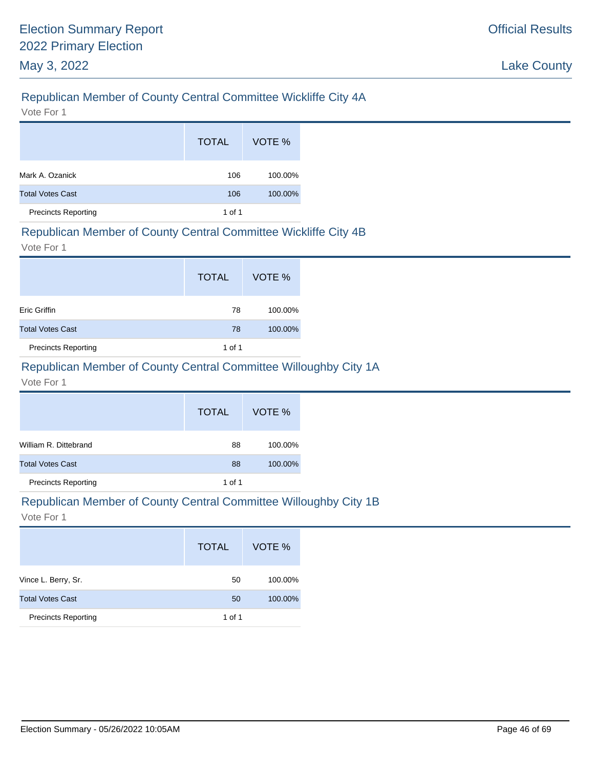# Republican Member of County Central Committee Wickliffe City 4A

Vote For 1

|                            | <b>TOTAL</b> | VOTE %  |
|----------------------------|--------------|---------|
| Mark A. Ozanick            | 106          | 100.00% |
| <b>Total Votes Cast</b>    | 106          | 100.00% |
| <b>Precincts Reporting</b> | 1 of 1       |         |

#### Republican Member of County Central Committee Wickliffe City 4B

Vote For 1

|                            | <b>TOTAL</b> | VOTE %  |
|----------------------------|--------------|---------|
| <b>Eric Griffin</b>        | 78           | 100.00% |
| <b>Total Votes Cast</b>    | 78           | 100.00% |
| <b>Precincts Reporting</b> | 1 of 1       |         |

# Republican Member of County Central Committee Willoughby City 1A

#### Vote For 1

|                            | <b>TOTAL</b> | VOTE %  |
|----------------------------|--------------|---------|
| William R. Dittebrand      | 88           | 100.00% |
| <b>Total Votes Cast</b>    | 88           | 100.00% |
| <b>Precincts Reporting</b> | 1 of 1       |         |

#### Republican Member of County Central Committee Willoughby City 1B

|                            | <b>TOTAL</b> | VOTE %  |
|----------------------------|--------------|---------|
| Vince L. Berry, Sr.        | 50           | 100.00% |
| <b>Total Votes Cast</b>    | 50           | 100.00% |
| <b>Precincts Reporting</b> | 1 of 1       |         |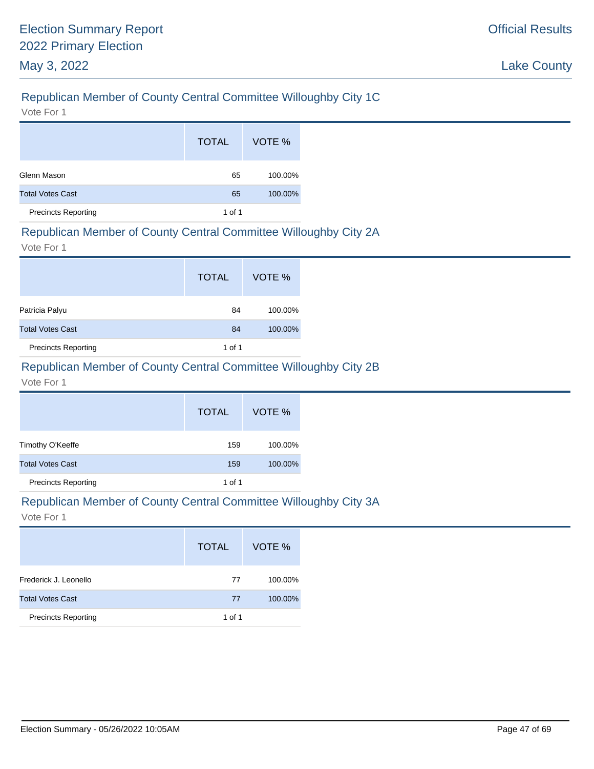# Republican Member of County Central Committee Willoughby City 1C

Vote For 1

|                            | <b>TOTAL</b> | VOTE %  |
|----------------------------|--------------|---------|
| Glenn Mason                | 65           | 100.00% |
| <b>Total Votes Cast</b>    | 65           | 100.00% |
| <b>Precincts Reporting</b> | 1 of 1       |         |

### Republican Member of County Central Committee Willoughby City 2A

Vote For 1

|                            | <b>TOTAL</b> | VOTE %  |
|----------------------------|--------------|---------|
| Patricia Palyu             | 84           | 100.00% |
| <b>Total Votes Cast</b>    | 84           | 100.00% |
| <b>Precincts Reporting</b> | 1 of 1       |         |

# Republican Member of County Central Committee Willoughby City 2B

Vote For 1

|                            | <b>TOTAL</b> | VOTE %  |
|----------------------------|--------------|---------|
| Timothy O'Keeffe           | 159          | 100.00% |
| <b>Total Votes Cast</b>    | 159          | 100.00% |
| <b>Precincts Reporting</b> | 1 of 1       |         |

#### Republican Member of County Central Committee Willoughby City 3A

|                            | <b>TOTAL</b> | VOTE %  |
|----------------------------|--------------|---------|
| Frederick J. Leonello      | 77           | 100.00% |
| <b>Total Votes Cast</b>    | 77           | 100.00% |
| <b>Precincts Reporting</b> | 1 of 1       |         |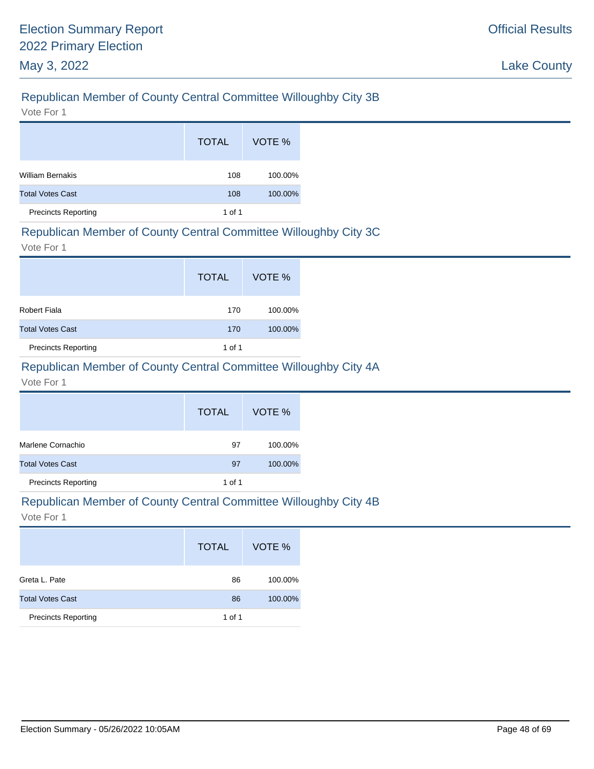# Republican Member of County Central Committee Willoughby City 3B

Vote For 1

|                            | <b>TOTAL</b>   | VOTE %  |
|----------------------------|----------------|---------|
| <b>William Bernakis</b>    | 108            | 100.00% |
| <b>Total Votes Cast</b>    | 100.00%<br>108 |         |
| <b>Precincts Reporting</b> | 1 of 1         |         |

#### Republican Member of County Central Committee Willoughby City 3C

Vote For 1

|                            | <b>TOTAL</b> | VOTE %  |
|----------------------------|--------------|---------|
| Robert Fiala               | 170          | 100.00% |
| <b>Total Votes Cast</b>    | 170          | 100.00% |
| <b>Precincts Reporting</b> | 1 of 1       |         |

# Republican Member of County Central Committee Willoughby City 4A

Vote For 1

|                            | <b>TOTAL</b> | VOTE %  |
|----------------------------|--------------|---------|
| Marlene Cornachio          | 97           | 100.00% |
| <b>Total Votes Cast</b>    | 97           | 100.00% |
| <b>Precincts Reporting</b> | 1 of 1       |         |

#### Republican Member of County Central Committee Willoughby City 4B

|                            | <b>TOTAL</b> | VOTE %  |
|----------------------------|--------------|---------|
| Greta L. Pate              | 86           | 100.00% |
| <b>Total Votes Cast</b>    | 86           | 100.00% |
| <b>Precincts Reporting</b> | 1 of 1       |         |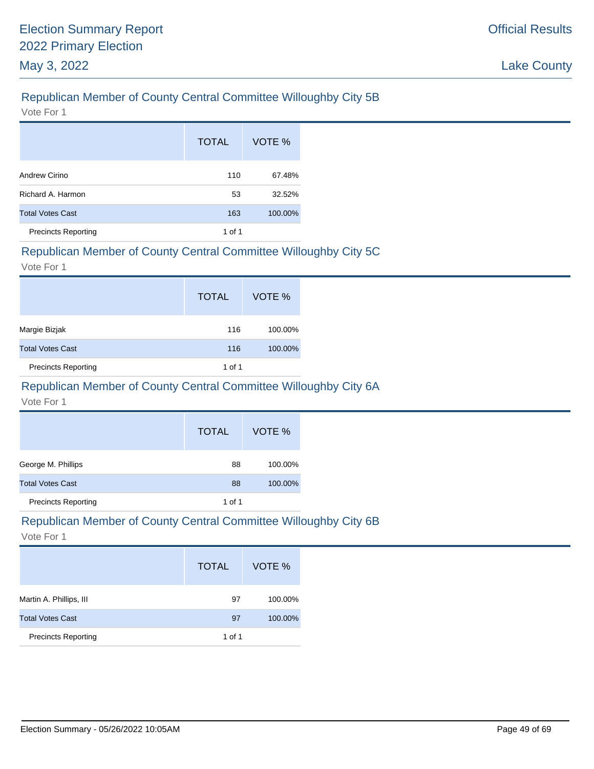# Republican Member of County Central Committee Willoughby City 5B

Vote For 1

|                            | <b>TOTAL</b> | VOTE %  |
|----------------------------|--------------|---------|
| Andrew Cirino              | 110          | 67.48%  |
| Richard A. Harmon          | 53<br>32.52% |         |
| <b>Total Votes Cast</b>    | 163          | 100.00% |
| <b>Precincts Reporting</b> | 1 of 1       |         |

#### Republican Member of County Central Committee Willoughby City 5C

Vote For 1

|                            | <b>TOTAL</b> | VOTE %  |
|----------------------------|--------------|---------|
| Margie Bizjak              | 116          | 100.00% |
| <b>Total Votes Cast</b>    | 116          | 100.00% |
| <b>Precincts Reporting</b> | 1 of 1       |         |

# Republican Member of County Central Committee Willoughby City 6A

Vote For 1

|                            | <b>TOTAL</b> | VOTE %  |
|----------------------------|--------------|---------|
| George M. Phillips         | 88           | 100.00% |
| <b>Total Votes Cast</b>    | 88           | 100.00% |
| <b>Precincts Reporting</b> | 1 of 1       |         |

# Republican Member of County Central Committee Willoughby City 6B

|                            | <b>TOTAL</b> | VOTE %  |
|----------------------------|--------------|---------|
| Martin A. Phillips, III    | 97           | 100.00% |
| <b>Total Votes Cast</b>    | 97           | 100.00% |
| <b>Precincts Reporting</b> | 1 of 1       |         |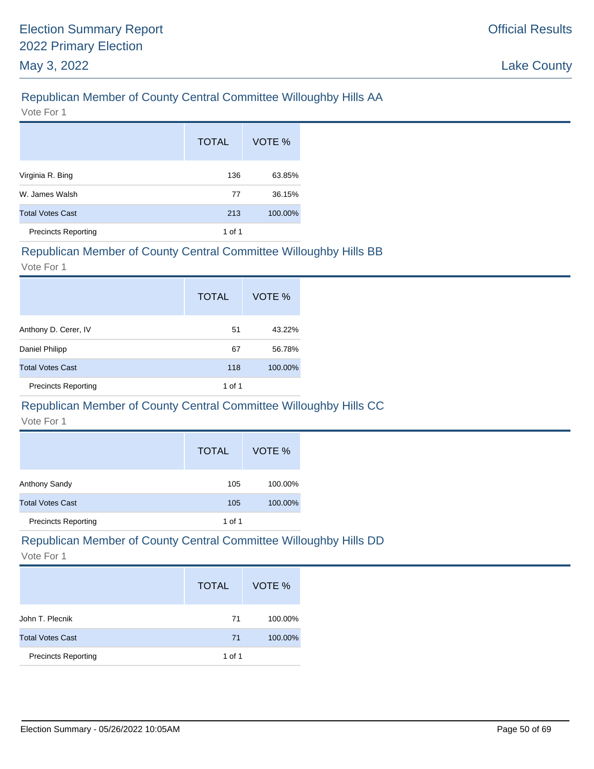# Republican Member of County Central Committee Willoughby Hills AA

Vote For 1

|                            | <b>TOTAL</b> | VOTE %  |
|----------------------------|--------------|---------|
| Virginia R. Bing           | 136          | 63.85%  |
| W. James Walsh             | 77           | 36.15%  |
| <b>Total Votes Cast</b>    | 213          | 100.00% |
| <b>Precincts Reporting</b> | 1 of 1       |         |

# Republican Member of County Central Committee Willoughby Hills BB

Vote For 1

|                            | <b>TOTAL</b> | VOTE %  |
|----------------------------|--------------|---------|
| Anthony D. Cerer, IV       | 51           | 43.22%  |
| Daniel Philipp             | 67           | 56.78%  |
| <b>Total Votes Cast</b>    | 118          | 100.00% |
| <b>Precincts Reporting</b> | 1 of 1       |         |

# Republican Member of County Central Committee Willoughby Hills CC

Vote For 1

|                            | <b>TOTAL</b> | VOTE %  |
|----------------------------|--------------|---------|
| Anthony Sandy              | 105          | 100.00% |
| <b>Total Votes Cast</b>    | 105          | 100.00% |
| <b>Precincts Reporting</b> | 1 of 1       |         |

# Republican Member of County Central Committee Willoughby Hills DD

|                            | <b>TOTAL</b> | VOTE %  |
|----------------------------|--------------|---------|
| John T. Plecnik            | 71           | 100.00% |
| <b>Total Votes Cast</b>    | 71           | 100.00% |
| <b>Precincts Reporting</b> | 1 of 1       |         |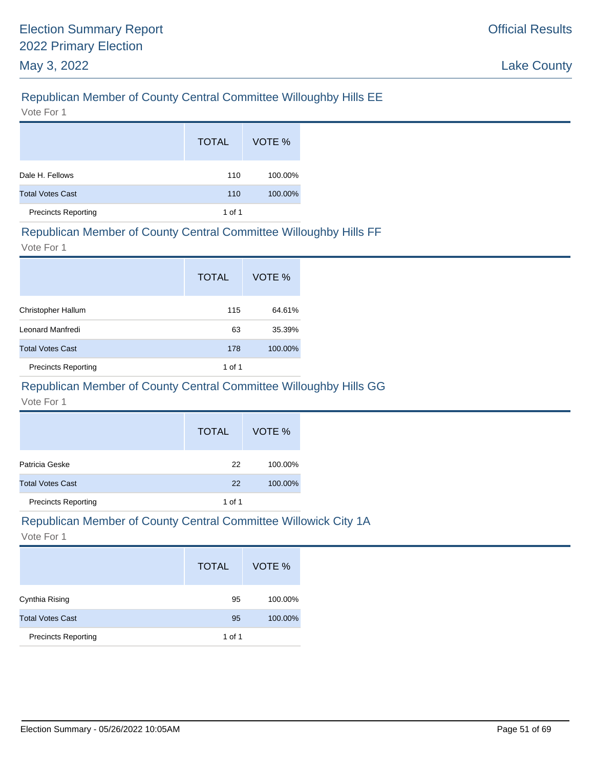# Republican Member of County Central Committee Willoughby Hills EE

Vote For 1

|                            | <b>TOTAL</b> | VOTE %  |
|----------------------------|--------------|---------|
| Dale H. Fellows            | 110          | 100.00% |
| <b>Total Votes Cast</b>    | 110          | 100.00% |
| <b>Precincts Reporting</b> | 1 of 1       |         |

#### Republican Member of County Central Committee Willoughby Hills FF

Vote For 1

|                            | <b>TOTAL</b> | VOTE %  |
|----------------------------|--------------|---------|
| Christopher Hallum         | 115          | 64.61%  |
| Leonard Manfredi           | 63           | 35.39%  |
| <b>Total Votes Cast</b>    | 178          | 100.00% |
| <b>Precincts Reporting</b> | 1 of 1       |         |

# Republican Member of County Central Committee Willoughby Hills GG

Vote For 1

| <b>Precincts Reporting</b> | 1 of 1       |         |
|----------------------------|--------------|---------|
| <b>Total Votes Cast</b>    | 22           | 100.00% |
| Patricia Geske             | 22           | 100.00% |
|                            | <b>TOTAL</b> | VOTE %  |

#### Republican Member of County Central Committee Willowick City 1A

|                            | <b>TOTAL</b> | VOTE %  |
|----------------------------|--------------|---------|
| Cynthia Rising             | 95           | 100.00% |
| <b>Total Votes Cast</b>    | 95           | 100.00% |
| <b>Precincts Reporting</b> | 1 of 1       |         |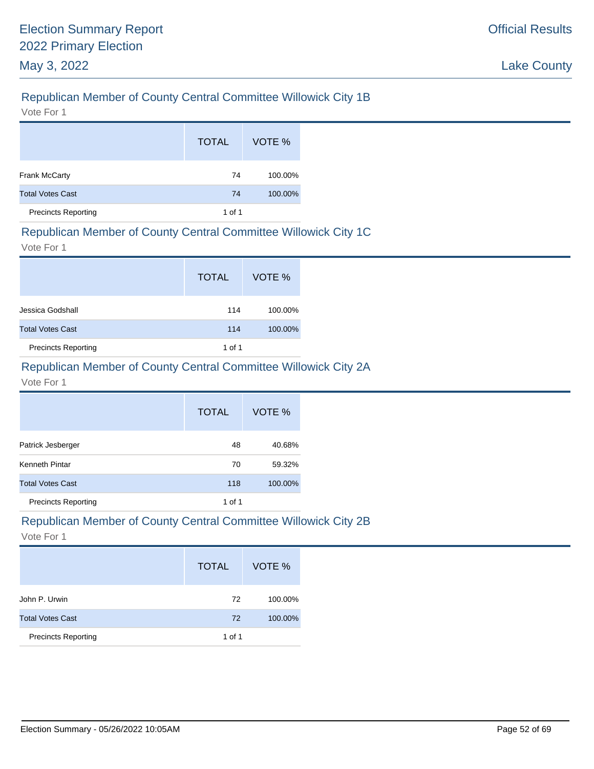# Republican Member of County Central Committee Willowick City 1B

Vote For 1

|                            | <b>TOTAL</b> | VOTE %  |
|----------------------------|--------------|---------|
| <b>Frank McCarty</b>       | 74           | 100.00% |
| <b>Total Votes Cast</b>    | 74           | 100.00% |
| <b>Precincts Reporting</b> | 1 of 1       |         |

#### Republican Member of County Central Committee Willowick City 1C

Vote For 1

|                            | <b>TOTAL</b> | VOTE %  |
|----------------------------|--------------|---------|
| Jessica Godshall           | 114          | 100.00% |
| <b>Total Votes Cast</b>    | 114          | 100.00% |
| <b>Precincts Reporting</b> | 1 of 1       |         |

### Republican Member of County Central Committee Willowick City 2A

#### Vote For 1

|                            | <b>TOTAL</b> | VOTE %  |
|----------------------------|--------------|---------|
| Patrick Jesberger          | 48           | 40.68%  |
| Kenneth Pintar             | 70           | 59.32%  |
| <b>Total Votes Cast</b>    | 118          | 100.00% |
| <b>Precincts Reporting</b> | 1 of 1       |         |

#### Republican Member of County Central Committee Willowick City 2B

|                            | <b>TOTAL</b> | VOTE %  |
|----------------------------|--------------|---------|
| John P. Urwin              | 72           | 100.00% |
| <b>Total Votes Cast</b>    | 72           | 100.00% |
| <b>Precincts Reporting</b> | 1 of 1       |         |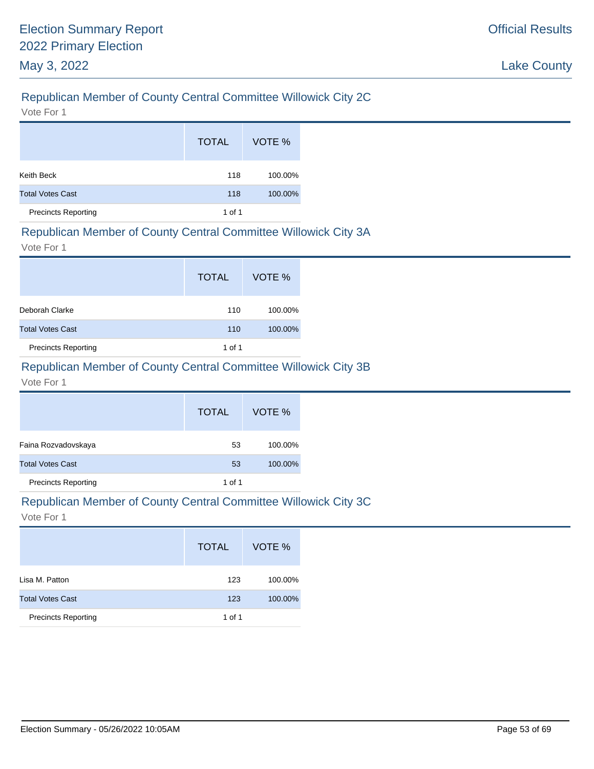# Republican Member of County Central Committee Willowick City 2C

Vote For 1

|                            | <b>TOTAL</b> | VOTE %  |
|----------------------------|--------------|---------|
| Keith Beck                 | 118          | 100.00% |
| <b>Total Votes Cast</b>    | 118          | 100.00% |
| <b>Precincts Reporting</b> | 1 of 1       |         |

#### Republican Member of County Central Committee Willowick City 3A

Vote For 1

|                            | <b>TOTAL</b> | VOTE %  |
|----------------------------|--------------|---------|
| Deborah Clarke             | 110          | 100.00% |
| <b>Total Votes Cast</b>    | 110          | 100.00% |
| <b>Precincts Reporting</b> | 1 of 1       |         |

# Republican Member of County Central Committee Willowick City 3B

Vote For 1

|                            | <b>TOTAL</b> | VOTE %  |
|----------------------------|--------------|---------|
| Faina Rozvadovskaya        | 53           | 100.00% |
| <b>Total Votes Cast</b>    | 53           | 100.00% |
| <b>Precincts Reporting</b> | 1 of 1       |         |

#### Republican Member of County Central Committee Willowick City 3C

|                            | <b>TOTAL</b> | VOTE %  |
|----------------------------|--------------|---------|
| Lisa M. Patton             | 123          | 100.00% |
| <b>Total Votes Cast</b>    | 123          | 100.00% |
| <b>Precincts Reporting</b> | 1 of 1       |         |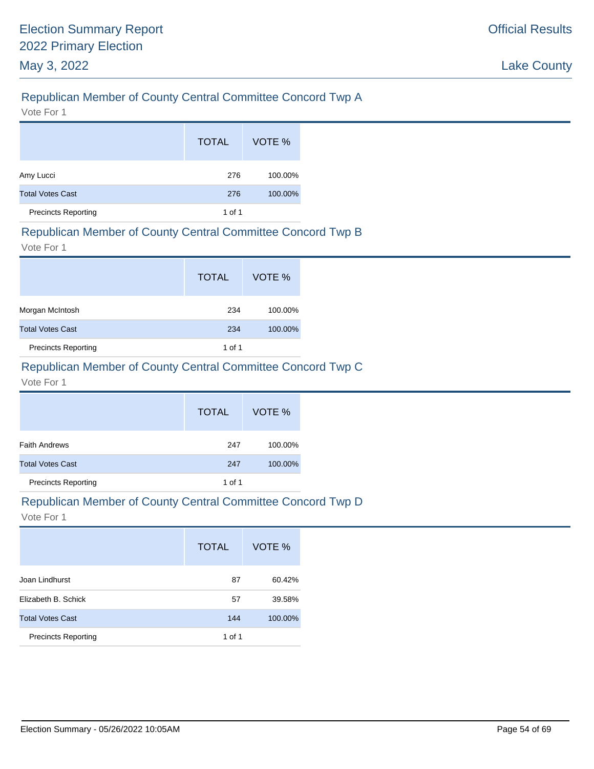# Republican Member of County Central Committee Concord Twp A

Vote For 1

|                            | <b>TOTAL</b> | VOTE %  |
|----------------------------|--------------|---------|
| Amy Lucci                  | 276          | 100.00% |
| <b>Total Votes Cast</b>    | 276          | 100.00% |
| <b>Precincts Reporting</b> | 1 of 1       |         |

#### Republican Member of County Central Committee Concord Twp B

Vote For 1

|                            | <b>TOTAL</b> | VOTE %  |
|----------------------------|--------------|---------|
| Morgan McIntosh            | 234          | 100.00% |
| <b>Total Votes Cast</b>    | 234          | 100.00% |
| <b>Precincts Reporting</b> | 1 of 1       |         |

# Republican Member of County Central Committee Concord Twp C

Vote For 1

|                            | <b>TOTAL</b> | VOTE %  |
|----------------------------|--------------|---------|
| <b>Faith Andrews</b>       | 247          | 100.00% |
| <b>Total Votes Cast</b>    | 247          | 100.00% |
| <b>Precincts Reporting</b> | 1 of 1       |         |

#### Republican Member of County Central Committee Concord Twp D

|                            | <b>TOTAL</b> | VOTE %  |
|----------------------------|--------------|---------|
| Joan Lindhurst             | 87           | 60.42%  |
| Elizabeth B. Schick        | 57           | 39.58%  |
| <b>Total Votes Cast</b>    | 144          | 100.00% |
| <b>Precincts Reporting</b> | 1 of 1       |         |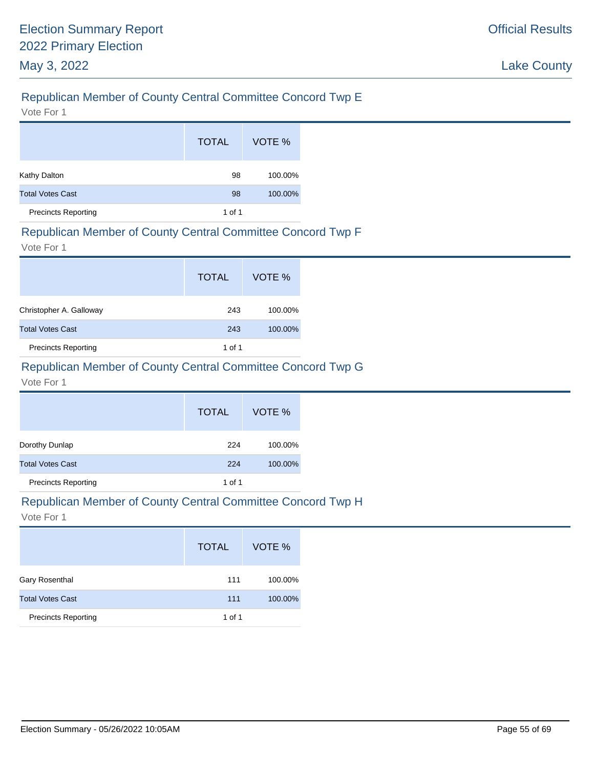# Republican Member of County Central Committee Concord Twp E

Vote For 1

|                            | <b>TOTAL</b> | VOTE %  |
|----------------------------|--------------|---------|
| Kathy Dalton               | 98           | 100.00% |
| <b>Total Votes Cast</b>    | 98           | 100.00% |
| <b>Precincts Reporting</b> | 1 of 1       |         |

#### Republican Member of County Central Committee Concord Twp F

Vote For 1

|                            | <b>TOTAL</b> | VOTE %  |
|----------------------------|--------------|---------|
| Christopher A. Galloway    | 243          | 100.00% |
| <b>Total Votes Cast</b>    | 243          | 100.00% |
| <b>Precincts Reporting</b> | 1 of 1       |         |

# Republican Member of County Central Committee Concord Twp G

Vote For 1

|                            | <b>TOTAL</b> | VOTE %  |
|----------------------------|--------------|---------|
| Dorothy Dunlap             | 224          | 100.00% |
| <b>Total Votes Cast</b>    | 224          | 100.00% |
| <b>Precincts Reporting</b> | 1 of 1       |         |

#### Republican Member of County Central Committee Concord Twp H

|                            | <b>TOTAL</b> | VOTE %  |
|----------------------------|--------------|---------|
| <b>Gary Rosenthal</b>      | 111          | 100.00% |
| <b>Total Votes Cast</b>    | 111          | 100.00% |
| <b>Precincts Reporting</b> | 1 of 1       |         |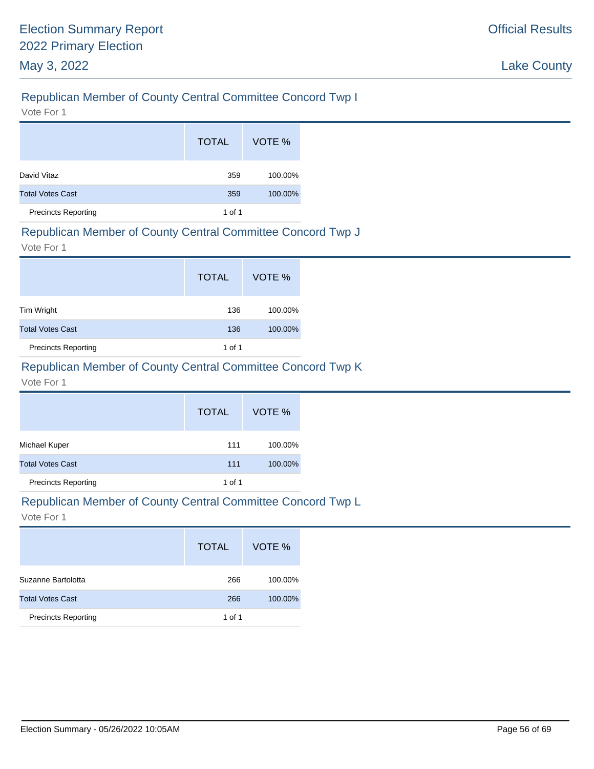# Republican Member of County Central Committee Concord Twp I

Vote For 1

|                            | <b>TOTAL</b> | VOTE %  |
|----------------------------|--------------|---------|
| David Vitaz                | 359          | 100.00% |
| <b>Total Votes Cast</b>    | 359          | 100.00% |
| <b>Precincts Reporting</b> | 1 of 1       |         |

#### Republican Member of County Central Committee Concord Twp J

Vote For 1

|                            | <b>TOTAL</b> | VOTE %  |
|----------------------------|--------------|---------|
| Tim Wright                 | 136          | 100.00% |
| <b>Total Votes Cast</b>    | 136          | 100.00% |
| <b>Precincts Reporting</b> | 1 of 1       |         |

# Republican Member of County Central Committee Concord Twp K

Vote For 1

|                            | <b>TOTAL</b> | VOTE %  |
|----------------------------|--------------|---------|
| Michael Kuper              | 111          | 100.00% |
| <b>Total Votes Cast</b>    | 111          | 100.00% |
| <b>Precincts Reporting</b> | 1 of 1       |         |

# Republican Member of County Central Committee Concord Twp L

|                            | <b>TOTAL</b> | VOTE %  |
|----------------------------|--------------|---------|
| Suzanne Bartolotta         | 266          | 100.00% |
| <b>Total Votes Cast</b>    | 266          | 100.00% |
| <b>Precincts Reporting</b> | 1 of 1       |         |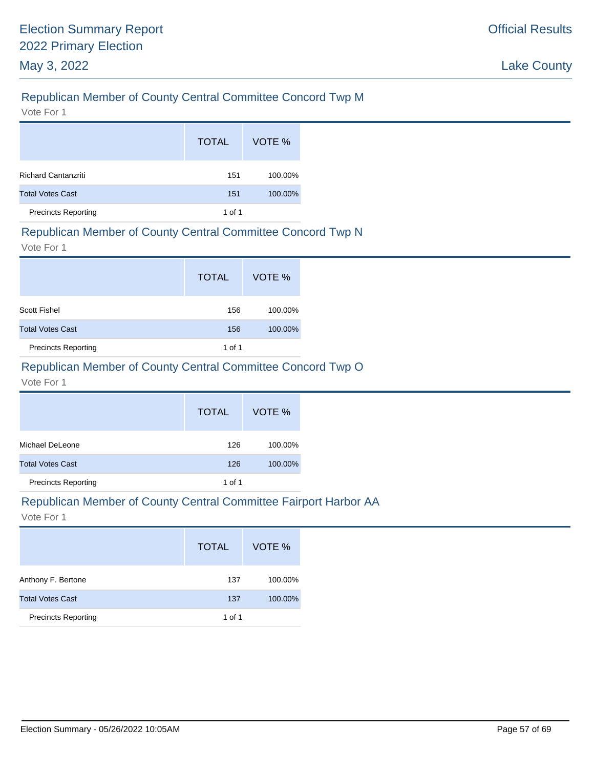# Republican Member of County Central Committee Concord Twp M

Vote For 1

|                            | <b>TOTAL</b> | VOTE %  |
|----------------------------|--------------|---------|
| <b>Richard Cantanzriti</b> | 151          | 100.00% |
| <b>Total Votes Cast</b>    | 151          | 100.00% |
| <b>Precincts Reporting</b> | 1 of 1       |         |

#### Republican Member of County Central Committee Concord Twp N

Vote For 1

|                            | <b>TOTAL</b> | VOTE %  |
|----------------------------|--------------|---------|
| <b>Scott Fishel</b>        | 156          | 100.00% |
| <b>Total Votes Cast</b>    | 156          | 100.00% |
| <b>Precincts Reporting</b> | 1 of 1       |         |

# Republican Member of County Central Committee Concord Twp O

Vote For 1

|                            | <b>TOTAL</b> | VOTE %  |
|----------------------------|--------------|---------|
| Michael DeLeone            | 126          | 100.00% |
| <b>Total Votes Cast</b>    | 126          | 100.00% |
| <b>Precincts Reporting</b> | 1 of 1       |         |

#### Republican Member of County Central Committee Fairport Harbor AA

|                            | <b>TOTAL</b> | VOTE %  |
|----------------------------|--------------|---------|
| Anthony F. Bertone         | 137          | 100.00% |
| <b>Total Votes Cast</b>    | 137          | 100.00% |
| <b>Precincts Reporting</b> | 1 of 1       |         |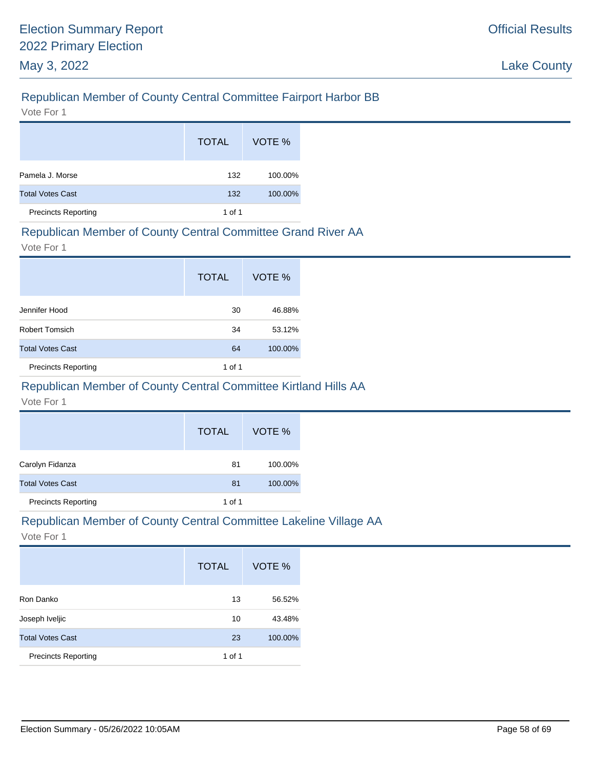# Republican Member of County Central Committee Fairport Harbor BB

Vote For 1

|                            | <b>TOTAL</b> | VOTE %  |
|----------------------------|--------------|---------|
| Pamela J. Morse            | 132          | 100.00% |
| <b>Total Votes Cast</b>    | 132          | 100.00% |
| <b>Precincts Reporting</b> | 1 of 1       |         |

### Republican Member of County Central Committee Grand River AA

Vote For 1

|                            | <b>TOTAL</b> | VOTE %  |
|----------------------------|--------------|---------|
| Jennifer Hood              | 30           | 46.88%  |
| <b>Robert Tomsich</b>      | 34           | 53.12%  |
| <b>Total Votes Cast</b>    | 64           | 100.00% |
| <b>Precincts Reporting</b> | 1 of 1       |         |

# Republican Member of County Central Committee Kirtland Hills AA

Vote For 1

|                            | <b>TOTAL</b> | VOTE %  |
|----------------------------|--------------|---------|
| Carolyn Fidanza            | 81           | 100.00% |
| <b>Total Votes Cast</b>    | 81           | 100.00% |
| <b>Precincts Reporting</b> | 1 of 1       |         |

# Republican Member of County Central Committee Lakeline Village AA

|                            | <b>TOTAL</b> | VOTE %  |
|----------------------------|--------------|---------|
| Ron Danko                  | 13           | 56.52%  |
| Joseph Iveljic             | 10           | 43.48%  |
| <b>Total Votes Cast</b>    | 23           | 100.00% |
| <b>Precincts Reporting</b> | 1 of 1       |         |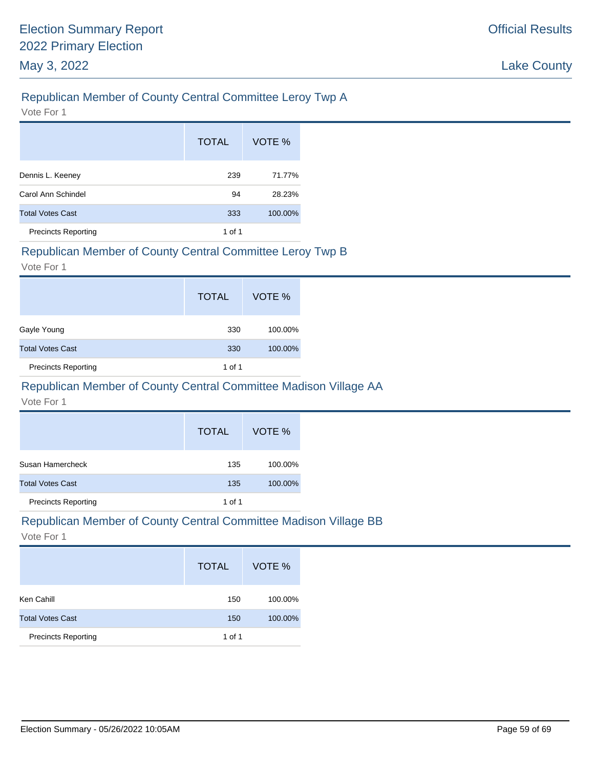# Republican Member of County Central Committee Leroy Twp A

Vote For 1

|                            | <b>TOTAL</b> | VOTE %  |
|----------------------------|--------------|---------|
| Dennis L. Keeney           | 239          | 71.77%  |
| Carol Ann Schindel         | 94           | 28.23%  |
| <b>Total Votes Cast</b>    | 333          | 100.00% |
| <b>Precincts Reporting</b> | 1 of 1       |         |

#### Republican Member of County Central Committee Leroy Twp B

Vote For 1

|                            | <b>TOTAL</b> | VOTE %  |
|----------------------------|--------------|---------|
| Gayle Young                | 330          | 100.00% |
| <b>Total Votes Cast</b>    | 330          | 100.00% |
| <b>Precincts Reporting</b> | 1 of 1       |         |

# Republican Member of County Central Committee Madison Village AA

Vote For 1

|                            | <b>TOTAL</b> | VOTE %  |
|----------------------------|--------------|---------|
| Susan Hamercheck           | 135          | 100.00% |
| <b>Total Votes Cast</b>    | 135          | 100.00% |
| <b>Precincts Reporting</b> | 1 of 1       |         |

### Republican Member of County Central Committee Madison Village BB

|                            | <b>TOTAL</b> | VOTE %  |
|----------------------------|--------------|---------|
| Ken Cahill                 | 150          | 100.00% |
| <b>Total Votes Cast</b>    | 150          | 100.00% |
| <b>Precincts Reporting</b> | 1 of 1       |         |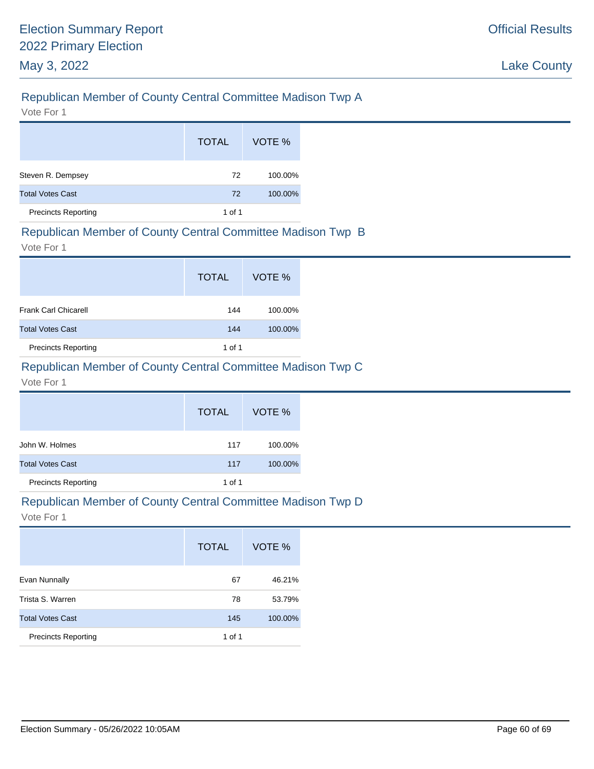# Republican Member of County Central Committee Madison Twp A

Vote For 1

|                            | <b>TOTAL</b> | VOTE %  |
|----------------------------|--------------|---------|
| Steven R. Dempsey          | 72           | 100.00% |
| <b>Total Votes Cast</b>    | 72           | 100.00% |
| <b>Precincts Reporting</b> | 1 of 1       |         |

### Republican Member of County Central Committee Madison Twp B

Vote For 1

|                             | <b>TOTAL</b> | VOTE %  |
|-----------------------------|--------------|---------|
| <b>Frank Carl Chicarell</b> | 144          | 100.00% |
| <b>Total Votes Cast</b>     | 144          | 100.00% |
| <b>Precincts Reporting</b>  | 1 of 1       |         |

# Republican Member of County Central Committee Madison Twp C

Vote For 1

|                            | <b>TOTAL</b> | VOTE %  |
|----------------------------|--------------|---------|
| John W. Holmes             | 117          | 100.00% |
| <b>Total Votes Cast</b>    | 117          | 100.00% |
| <b>Precincts Reporting</b> | 1 of 1       |         |

#### Republican Member of County Central Committee Madison Twp D

|                            | <b>TOTAL</b> | VOTE %  |
|----------------------------|--------------|---------|
| Evan Nunnally              | 67           | 46.21%  |
| Trista S. Warren           | 78           | 53.79%  |
| <b>Total Votes Cast</b>    | 145          | 100.00% |
| <b>Precincts Reporting</b> | 1 of 1       |         |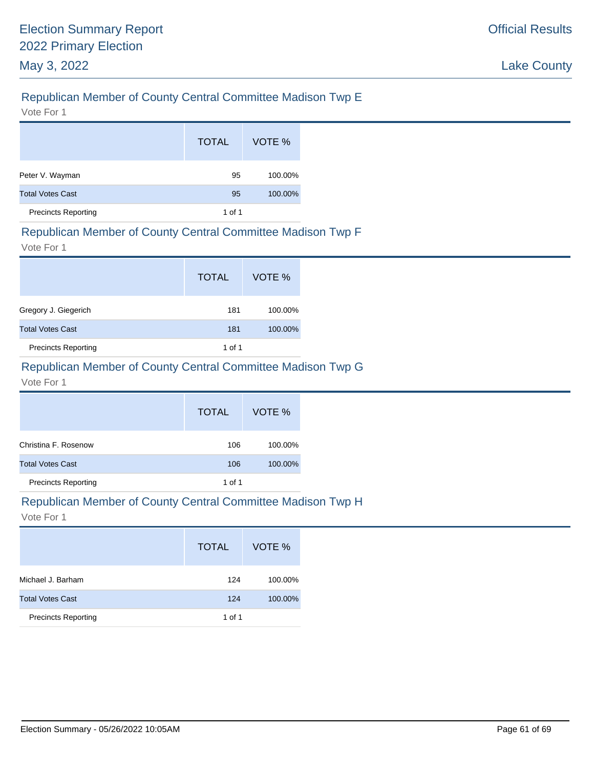# Republican Member of County Central Committee Madison Twp E

Vote For 1

|                            | <b>TOTAL</b> | VOTE %  |
|----------------------------|--------------|---------|
| Peter V. Wayman            | 95           | 100.00% |
| <b>Total Votes Cast</b>    | 95           | 100.00% |
| <b>Precincts Reporting</b> | 1 of 1       |         |

#### Republican Member of County Central Committee Madison Twp F

Vote For 1

|                            | <b>TOTAL</b> | VOTE %  |
|----------------------------|--------------|---------|
| Gregory J. Giegerich       | 181          | 100.00% |
| <b>Total Votes Cast</b>    | 181          | 100.00% |
| <b>Precincts Reporting</b> | 1 of 1       |         |

# Republican Member of County Central Committee Madison Twp G

Vote For 1

|                            | <b>TOTAL</b> | VOTE %  |
|----------------------------|--------------|---------|
| Christina F. Rosenow       | 106          | 100.00% |
| <b>Total Votes Cast</b>    | 106          | 100.00% |
| <b>Precincts Reporting</b> | 1 of 1       |         |

#### Republican Member of County Central Committee Madison Twp H

|                            | <b>TOTAL</b> | VOTE %  |
|----------------------------|--------------|---------|
| Michael J. Barham          | 124          | 100.00% |
| <b>Total Votes Cast</b>    | 124          | 100.00% |
| <b>Precincts Reporting</b> | 1 of 1       |         |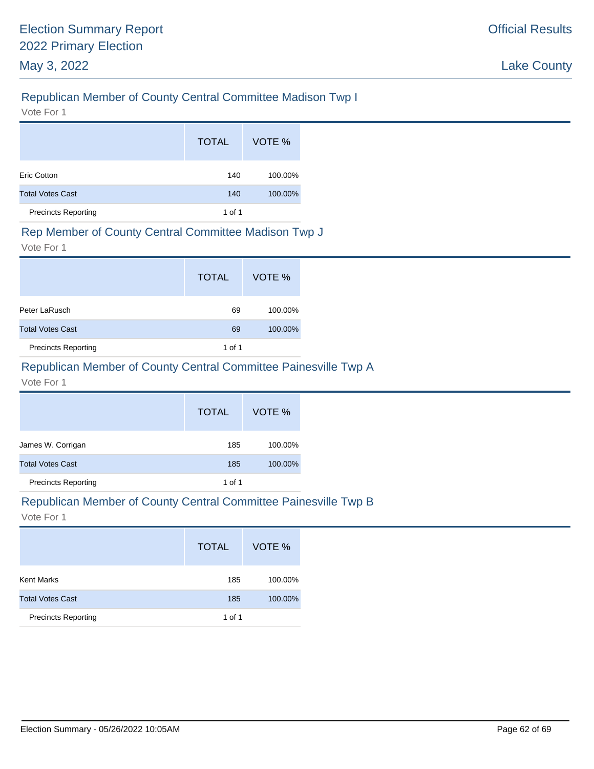# Republican Member of County Central Committee Madison Twp I

Vote For 1

|                            | <b>TOTAL</b> | VOTE %  |
|----------------------------|--------------|---------|
| Eric Cotton                | 140          | 100.00% |
| <b>Total Votes Cast</b>    | 140          | 100.00% |
| <b>Precincts Reporting</b> | 1 of 1       |         |

#### Rep Member of County Central Committee Madison Twp J

Vote For 1

|                            | <b>TOTAL</b> | VOTE %  |
|----------------------------|--------------|---------|
| Peter LaRusch              | 69           | 100.00% |
| <b>Total Votes Cast</b>    | 69           | 100.00% |
| <b>Precincts Reporting</b> | 1 of 1       |         |

# Republican Member of County Central Committee Painesville Twp A

Vote For 1

|                            | <b>TOTAL</b> | VOTE %  |
|----------------------------|--------------|---------|
| James W. Corrigan          | 185          | 100.00% |
| <b>Total Votes Cast</b>    | 185          | 100.00% |
| <b>Precincts Reporting</b> | 1 of 1       |         |

#### Republican Member of County Central Committee Painesville Twp B

|                            | <b>TOTAL</b> | VOTE %  |
|----------------------------|--------------|---------|
| <b>Kent Marks</b>          | 185          | 100.00% |
| <b>Total Votes Cast</b>    | 185          | 100.00% |
| <b>Precincts Reporting</b> | 1 of 1       |         |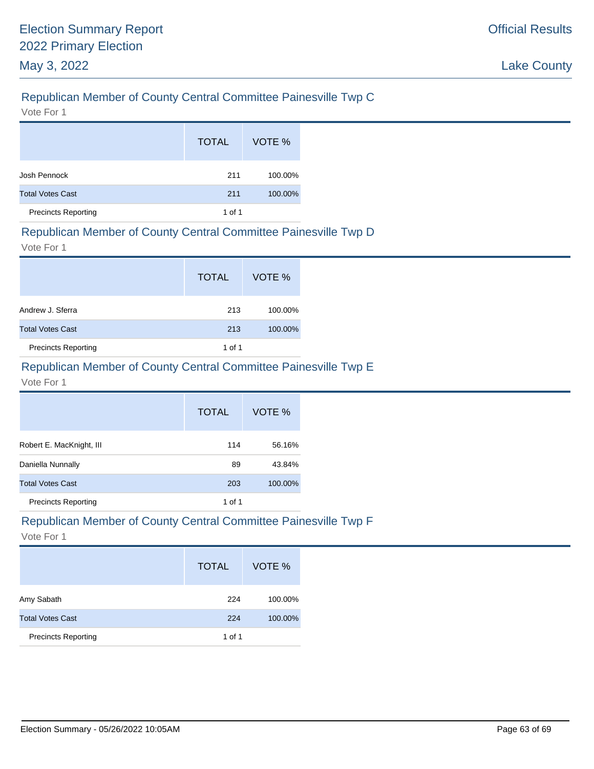# Republican Member of County Central Committee Painesville Twp C

Vote For 1

|                            | <b>TOTAL</b> | VOTE %  |
|----------------------------|--------------|---------|
| Josh Pennock               | 211          | 100.00% |
| <b>Total Votes Cast</b>    | 211          | 100.00% |
| <b>Precincts Reporting</b> | 1 of 1       |         |

### Republican Member of County Central Committee Painesville Twp D

Vote For 1

|                            | <b>TOTAL</b> | VOTE %  |
|----------------------------|--------------|---------|
| Andrew J. Sferra           | 213          | 100.00% |
| <b>Total Votes Cast</b>    | 213          | 100.00% |
| <b>Precincts Reporting</b> | 1 of 1       |         |

# Republican Member of County Central Committee Painesville Twp E

Vote For 1

|                            | <b>TOTAL</b> | VOTE %  |
|----------------------------|--------------|---------|
| Robert E. MacKnight, III   | 114          | 56.16%  |
| Daniella Nunnally          | 89           | 43.84%  |
| <b>Total Votes Cast</b>    | 203          | 100.00% |
| <b>Precincts Reporting</b> | 1 of 1       |         |

# Republican Member of County Central Committee Painesville Twp F

|                            | <b>TOTAL</b> | VOTE %  |
|----------------------------|--------------|---------|
| Amy Sabath                 | 224          | 100.00% |
| <b>Total Votes Cast</b>    | 224          | 100.00% |
| <b>Precincts Reporting</b> | 1 of 1       |         |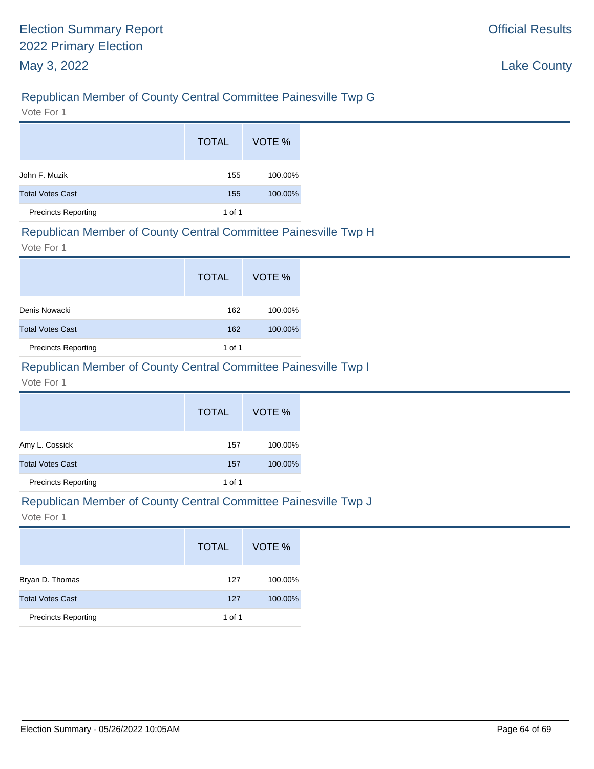# Republican Member of County Central Committee Painesville Twp G

Vote For 1

|                            | <b>TOTAL</b> | VOTE %  |
|----------------------------|--------------|---------|
| John F. Muzik              | 155          | 100.00% |
| <b>Total Votes Cast</b>    | 155          | 100.00% |
| <b>Precincts Reporting</b> | 1 of 1       |         |

#### Republican Member of County Central Committee Painesville Twp H

Vote For 1

|                            | <b>TOTAL</b> | VOTE %  |
|----------------------------|--------------|---------|
| Denis Nowacki              | 162          | 100.00% |
| <b>Total Votes Cast</b>    | 162          | 100.00% |
| <b>Precincts Reporting</b> | 1 of 1       |         |

# Republican Member of County Central Committee Painesville Twp I

Vote For 1

|                            | <b>TOTAL</b> | VOTE %  |
|----------------------------|--------------|---------|
| Amy L. Cossick             | 157          | 100.00% |
| <b>Total Votes Cast</b>    | 157          | 100.00% |
| <b>Precincts Reporting</b> | 1 of 1       |         |

#### Republican Member of County Central Committee Painesville Twp J

|                            | <b>TOTAL</b> | VOTE %  |
|----------------------------|--------------|---------|
| Bryan D. Thomas            | 127          | 100.00% |
| <b>Total Votes Cast</b>    | 127          | 100.00% |
| <b>Precincts Reporting</b> | 1 of 1       |         |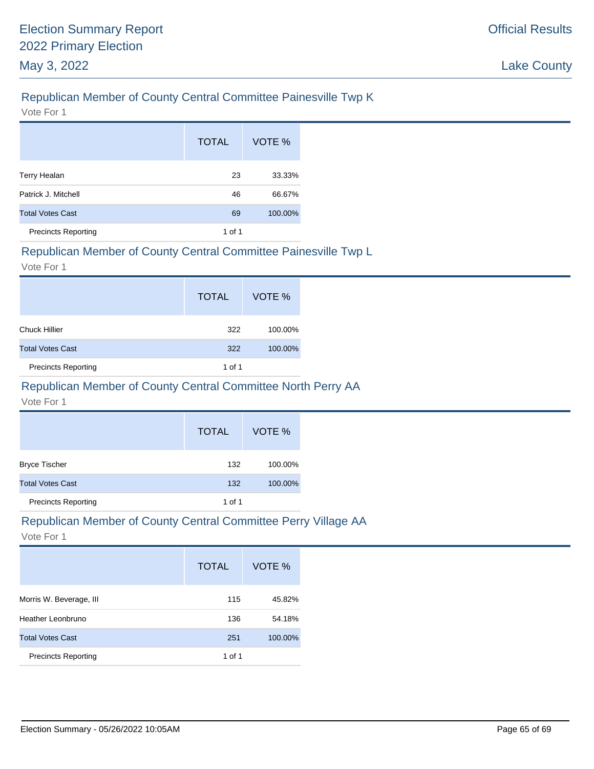# Republican Member of County Central Committee Painesville Twp K

Vote For 1

|                            | <b>TOTAL</b> | VOTE %  |
|----------------------------|--------------|---------|
| <b>Terry Healan</b>        | 23           | 33.33%  |
| Patrick J. Mitchell        | 46           | 66.67%  |
| <b>Total Votes Cast</b>    | 69           | 100.00% |
| <b>Precincts Reporting</b> | 1 of 1       |         |

#### Republican Member of County Central Committee Painesville Twp L

Vote For 1

|                            | <b>TOTAL</b> | VOTE %  |
|----------------------------|--------------|---------|
| <b>Chuck Hillier</b>       | 322          | 100.00% |
| <b>Total Votes Cast</b>    | 322          | 100.00% |
| <b>Precincts Reporting</b> | 1 of 1       |         |

# Republican Member of County Central Committee North Perry AA

Vote For 1

|                            | <b>TOTAL</b> | VOTE %  |
|----------------------------|--------------|---------|
| <b>Bryce Tischer</b>       | 132          | 100.00% |
| <b>Total Votes Cast</b>    | 132          | 100.00% |
| <b>Precincts Reporting</b> | 1 of 1       |         |

# Republican Member of County Central Committee Perry Village AA

|                            | <b>TOTAL</b> | VOTE %  |
|----------------------------|--------------|---------|
| Morris W. Beverage, III    | 115          | 45.82%  |
| Heather Leonbruno          | 136          | 54.18%  |
| <b>Total Votes Cast</b>    | 251          | 100.00% |
| <b>Precincts Reporting</b> | 1 of 1       |         |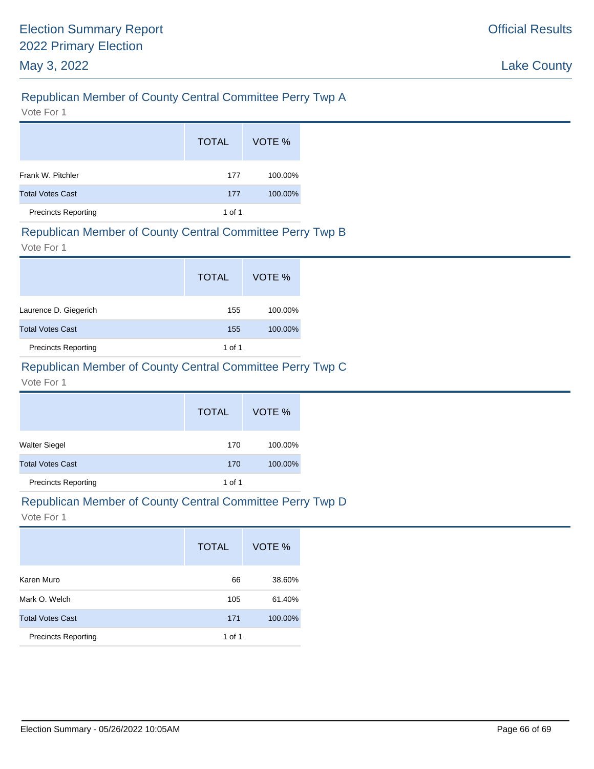# Republican Member of County Central Committee Perry Twp A

Vote For 1

|                            | <b>TOTAL</b> | VOTE %  |
|----------------------------|--------------|---------|
| Frank W. Pitchler          | 177          | 100.00% |
| <b>Total Votes Cast</b>    | 177          | 100.00% |
| <b>Precincts Reporting</b> | 1 of 1       |         |

#### Republican Member of County Central Committee Perry Twp B

Vote For 1

|                            | <b>TOTAL</b> | VOTE %  |
|----------------------------|--------------|---------|
| Laurence D. Giegerich      | 155          | 100.00% |
| <b>Total Votes Cast</b>    | 155          | 100.00% |
| <b>Precincts Reporting</b> | 1 of 1       |         |

# Republican Member of County Central Committee Perry Twp C

Vote For 1

|                            | <b>TOTAL</b> | VOTE %  |
|----------------------------|--------------|---------|
| Walter Siegel              | 170          | 100.00% |
| <b>Total Votes Cast</b>    | 170          | 100.00% |
| <b>Precincts Reporting</b> | 1 of 1       |         |

#### Republican Member of County Central Committee Perry Twp D

|                            | <b>TOTAL</b> | VOTE %  |
|----------------------------|--------------|---------|
| Karen Muro                 | 66           | 38.60%  |
| Mark O. Welch              | 105          | 61.40%  |
| <b>Total Votes Cast</b>    | 171          | 100.00% |
| <b>Precincts Reporting</b> | 1 of 1       |         |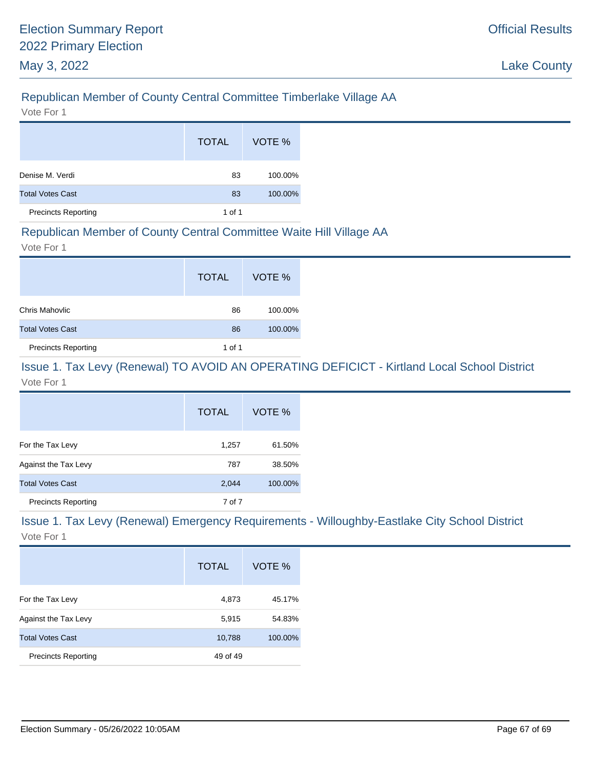# Republican Member of County Central Committee Timberlake Village AA

Vote For 1

|                            | <b>TOTAL</b> | VOTE %  |
|----------------------------|--------------|---------|
| Denise M. Verdi            | 83           | 100.00% |
| <b>Total Votes Cast</b>    | 83           | 100.00% |
| <b>Precincts Reporting</b> | 1 of 1       |         |

#### Republican Member of County Central Committee Waite Hill Village AA

Vote For 1

|                            | <b>TOTAL</b> | VOTE %  |
|----------------------------|--------------|---------|
| Chris Mahovlic             | 86           | 100.00% |
| <b>Total Votes Cast</b>    | 86           | 100.00% |
| <b>Precincts Reporting</b> | 1 of 1       |         |

#### Issue 1. Tax Levy (Renewal) TO AVOID AN OPERATING DEFICICT - Kirtland Local School District Vote For 1

|                            | <b>TOTAL</b> | VOTE %  |
|----------------------------|--------------|---------|
| For the Tax Levy           | 1,257        | 61.50%  |
| Against the Tax Levy       | 787          | 38.50%  |
| <b>Total Votes Cast</b>    | 2,044        | 100.00% |
| <b>Precincts Reporting</b> | 7 of 7       |         |

# Issue 1. Tax Levy (Renewal) Emergency Requirements - Willoughby-Eastlake City School District

|                            | <b>TOTAL</b> | VOTE %  |
|----------------------------|--------------|---------|
| For the Tax Levy           | 4,873        | 45.17%  |
| Against the Tax Levy       | 5,915        | 54.83%  |
| <b>Total Votes Cast</b>    | 10,788       | 100.00% |
| <b>Precincts Reporting</b> | 49 of 49     |         |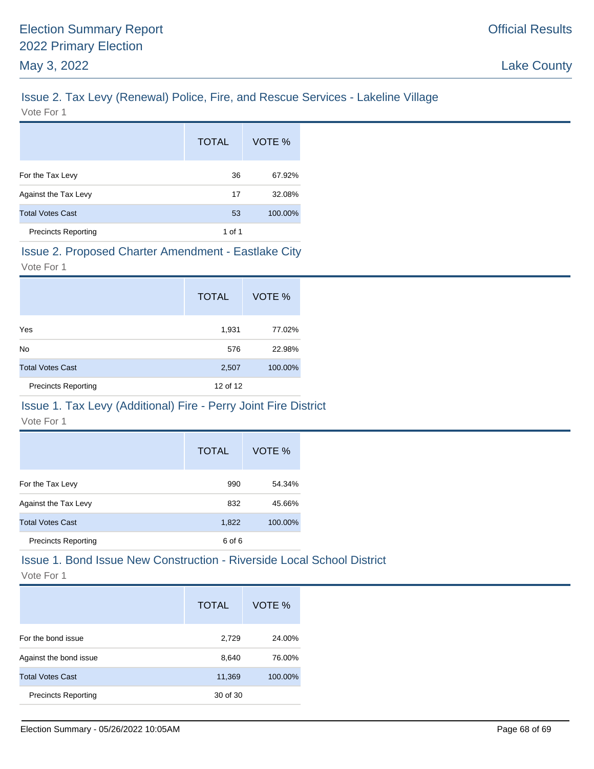# Issue 2. Tax Levy (Renewal) Police, Fire, and Rescue Services - Lakeline Village

|                            | <b>TOTAL</b> | VOTE %  |
|----------------------------|--------------|---------|
| For the Tax Levy           | 36           | 67.92%  |
| Against the Tax Levy       | 17           | 32.08%  |
| <b>Total Votes Cast</b>    | 53           | 100.00% |
| <b>Precincts Reporting</b> | 1 of 1       |         |

#### Issue 2. Proposed Charter Amendment - Eastlake City

Vote For 1

|                            | <b>TOTAL</b> | VOTE %  |
|----------------------------|--------------|---------|
| Yes                        | 1,931        | 77.02%  |
| <b>No</b>                  | 576          | 22.98%  |
| <b>Total Votes Cast</b>    | 2,507        | 100.00% |
| <b>Precincts Reporting</b> | 12 of 12     |         |

# Issue 1. Tax Levy (Additional) Fire - Perry Joint Fire District

Vote For 1

|                            | <b>TOTAL</b> | VOTE %  |
|----------------------------|--------------|---------|
| For the Tax Levy           | 990          | 54.34%  |
| Against the Tax Levy       | 832          | 45.66%  |
| <b>Total Votes Cast</b>    | 1,822        | 100.00% |
| <b>Precincts Reporting</b> | 6 of 6       |         |

### Issue 1. Bond Issue New Construction - Riverside Local School District

|                            | <b>TOTAL</b> | VOTE %  |
|----------------------------|--------------|---------|
| For the bond issue         | 2,729        | 24.00%  |
| Against the bond issue     | 8,640        | 76.00%  |
| <b>Total Votes Cast</b>    | 11,369       | 100.00% |
| <b>Precincts Reporting</b> | 30 of 30     |         |